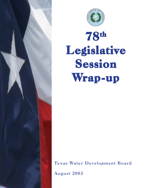



# 78th Legislative Session Wrap-up

**Texas Water Development Board August 2003**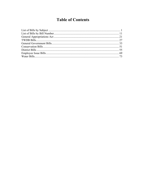# **Table of Contents**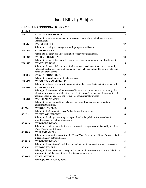# **List of Bills by Subject**

|                 | <b>GENERAL APPROPRIATIONS ACT</b>                                                                                                                                                                                                                        | 21 |
|-----------------|----------------------------------------------------------------------------------------------------------------------------------------------------------------------------------------------------------------------------------------------------------|----|
| <b>TWDB</b>     |                                                                                                                                                                                                                                                          |    |
| HB <sub>7</sub> | <b>BY TALMADGE HEFLIN</b>                                                                                                                                                                                                                                | 27 |
|                 | Relating to making supplemental appropriations and making reductions in current<br>appropriations                                                                                                                                                        |    |
| <b>HB</b> 649   | <b>BY JIM KEFFER</b>                                                                                                                                                                                                                                     | 27 |
|                 | Relating to creating an interagency work group on rural issues.                                                                                                                                                                                          |    |
| <b>HB</b> 1370  | <b>BY VILMA LUNA</b>                                                                                                                                                                                                                                     | 27 |
|                 | Relating to the study and implementation of seawater desalination.                                                                                                                                                                                       |    |
| <b>HB</b> 1378  | <b>BY CHARLIE GEREN</b>                                                                                                                                                                                                                                  | 28 |
|                 | Relating to certain duties and information regarding water planning and development.                                                                                                                                                                     |    |
| HB 1875         | <b>BY MIGUEL WISE</b>                                                                                                                                                                                                                                    | 28 |
|                 | Relating to the water infrastructure fund, rural water assistance fund, rural community<br>water and wastewater loan fund, and colonia self-help account; and to certain notes and<br>bonds of water districts.                                          |    |
| HB 2485         | <b>BY SCOTT HOCHBERG</b>                                                                                                                                                                                                                                 | 29 |
|                 | Relating to internal auditing of state agencies.                                                                                                                                                                                                         |    |
| <b>HB</b> 3030  | <b>BY CORBIN VAN ARSDALE</b>                                                                                                                                                                                                                             | 29 |
|                 | Relating to notice of groundwater contamination that may affect a drinking water well.                                                                                                                                                                   |    |
| <b>HB</b> 3318  | <b>BY VILMA LUNA</b>                                                                                                                                                                                                                                     | 29 |
|                 | Relating to the creation and re-creation of funds and accounts in the state treasury, the<br>allocation of revenue, the dedication and rededication of revenue, and the exemption of<br>unappropriated money from use for general governmental purposes. |    |
| HB 3442         | <b>BY JOSEPH PICKETT</b>                                                                                                                                                                                                                                 | 29 |
|                 | Relating to certain expenditures, charges, and other financial matters of certain<br>governmental entities.                                                                                                                                              |    |
| <b>SB 526</b>   | <b>BY TODD STAPLES</b>                                                                                                                                                                                                                                   | 30 |
|                 | Relating to the San Jacinto River Authority board of directors.                                                                                                                                                                                          |    |
| SB 653          | <b>BY JEFF WENTWORTH</b>                                                                                                                                                                                                                                 | 30 |
|                 | Relating to the charges that may be imposed under the public information law for<br>providing a copy of public information.                                                                                                                              |    |
| <b>SB 1053</b>  | <b>BY ROBERT DUNCAN</b>                                                                                                                                                                                                                                  | 30 |
|                 | Relating to certain water pollution and conservation programs administered by the Texas<br>Water Development Board.                                                                                                                                      |    |
| <b>SB 1084</b>  | <b>BY FRANK MADLA</b>                                                                                                                                                                                                                                    | 31 |
|                 | Relating to interest-free loans from the Texas Water Development Board for water districts<br>in economically distressed areas.                                                                                                                          |    |
| <b>SB 1094</b>  | <b>BY ROBERT DUNCAN</b>                                                                                                                                                                                                                                  | 31 |
|                 | Relating to the creation of a task force to evaluate matters regarding water conservation.                                                                                                                                                               |    |
| <b>SB 1362</b>  | <b>BY TODD STAPLES</b>                                                                                                                                                                                                                                   | 31 |
|                 | Relating to the development of a regional water supply reservoir project at the Lake Eastex<br>reservoir site and the acquisition of the site and other property.                                                                                        |    |
| <b>SB 1664</b>  | <b>BY KIP AVERITT</b>                                                                                                                                                                                                                                    | 32 |
|                 | Relating to private activity bonds.                                                                                                                                                                                                                      |    |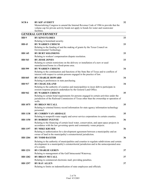| SCR <sub>6</sub>            | <b>BY KIP AVERITT</b>                                                                                                                                                                                         | 32 |
|-----------------------------|---------------------------------------------------------------------------------------------------------------------------------------------------------------------------------------------------------------|----|
|                             | Memorializing Congress to amend the Internal Revenue Code of 1986 to provide that the<br>volume cap for private activity bonds not apply to bonds for water and wastewater<br>facilities.                     |    |
|                             | <b>GENERAL GOVERNMENT</b>                                                                                                                                                                                     |    |
| H <sub>B</sub> <sup>9</sup> | <b>BY KINO FLORES</b>                                                                                                                                                                                         | 33 |
|                             | Relating to homeland security.                                                                                                                                                                                |    |
| <b>HB</b> 43                | <b>BY WARREN CHISUM</b>                                                                                                                                                                                       | 33 |
|                             | Relating to the funding of and the making of grants by the Texas Council on<br>Environmental Technology.                                                                                                      |    |
| <b>HB</b> 145               | <b>BY BURT SOLOMONS</b>                                                                                                                                                                                       | 33 |
|                             | Relating to workers' compensation dispute resolution.                                                                                                                                                         |    |
| <b>HB</b> 543               | <b>BY JESSE JONES</b>                                                                                                                                                                                         | 33 |
|                             | Relating to certain restrictions on the delivery or installation of a new or used<br>manufactured home in a flood-prone area.                                                                                 |    |
| HB 599                      | <b>BY WARREN CHISUM</b>                                                                                                                                                                                       | 34 |
|                             | Relating to the continuation and functions of the State Bar of Texas and to conflicts of<br>interest with respect to certain persons engaged in the practice of law.                                          |    |
| <b>HB 845</b>               | <b>BY CHARLIE HOWARD</b>                                                                                                                                                                                      | 34 |
|                             | Relating to preferences in state purchasing.                                                                                                                                                                  |    |
| <b>HB</b> 917               | <b>BY CRAIG EILAND</b>                                                                                                                                                                                        | 34 |
|                             | Relating to the authority of counties and municipalities to incur debt to participate in<br>erosion response projects undertaken by the General Land Office.                                                  |    |
| HB 942                      | <b>BY WARREN CHISUM</b>                                                                                                                                                                                       | 35 |
|                             | Relating to certain bond requirements for persons engaged in certain activities under the<br>jurisdiction of the Railroad Commission of Texas other than the ownership or operation of<br>wells.              |    |
| <b>HB</b> 1075              | <b>BY BRIAN MCCALL</b>                                                                                                                                                                                        | 35 |
|                             | Relating to criminal history record information for state agency information technology<br>personnel.                                                                                                         |    |
| <b>HB</b> 1138              | BY CORBIN VAN ARSDALE                                                                                                                                                                                         | 35 |
|                             | Relating to nonprofit water supply and sewer service corporations in certain counties.                                                                                                                        |    |
| <b>HB</b> 1150              | <b>BY ROBERT PUENTE</b>                                                                                                                                                                                       | 36 |
|                             | Relating to the financing of certain local water, conservation, and open-space projects in<br>accordance with the law governing sports and community venue projects.                                          |    |
| <b>HB</b> 1197              | <b>BY MIKE KRUSEE</b>                                                                                                                                                                                         | 36 |
|                             | Relating to authorization for a development agreement between a municipality and an<br>owner of land in the municipality's extraterritorial jurisdiction.                                                     |    |
| <b>HB</b> 1204              | <b>BY TODD BAXTER</b>                                                                                                                                                                                         | 36 |
|                             | Relating to the authority of municipalities and counties to regulate subdivisions and certain<br>development in a municipality's extraterritorial jurisdiction and in the unincorporated area<br>of a county. |    |
| <b>HB</b> 1231              | <b>BY CHARLIE GEREN</b>                                                                                                                                                                                       | 37 |
|                             | Relating to management of the Gulf Intracoastal Waterway.                                                                                                                                                     |    |
| <b>HB</b> 1282              | <b>BY BRIAN MCCALL</b>                                                                                                                                                                                        | 37 |
|                             | Relating to commercial electronic mail; providing penalties.                                                                                                                                                  |    |
| <b>HB</b> 1297              | <b>BY RAY ALLEN</b>                                                                                                                                                                                           | 37 |
|                             | Relating to limits on indemnification of state employees and officials.                                                                                                                                       |    |
|                             |                                                                                                                                                                                                               |    |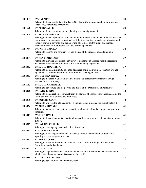| <b>HB</b> 1309 | <b>BY JIM PITTS</b>                                                                                                                                                                                                                                                                                                                                     | 38 |
|----------------|---------------------------------------------------------------------------------------------------------------------------------------------------------------------------------------------------------------------------------------------------------------------------------------------------------------------------------------------------------|----|
|                | Relating to the applicability of the Texas Non-Profit Corporation Act to nonprofit water                                                                                                                                                                                                                                                                |    |
| HB 1576        | supply or sewer service corporations.<br><b>BY PETE GALLEGO</b>                                                                                                                                                                                                                                                                                         | 38 |
|                | Relating to the telecommunications planning and oversight council.                                                                                                                                                                                                                                                                                      |    |
| <b>HB</b> 1606 | <b>BY STEVEN WOLENS</b>                                                                                                                                                                                                                                                                                                                                 | 38 |
|                | Relating to ethics of public servants, including the functions and duties of the Texas Ethics<br>Commission; the regulation of political contributions, political advertising, lobbying, and<br>conduct of public servants; and the reporting of political contributions and personal<br>financial information; providing civil and criminal penalties. |    |
| <b>HB</b> 1934 | <b>BY JAIME CAPELO</b>                                                                                                                                                                                                                                                                                                                                  | 38 |
|                | Relating to security and payment for, and the use of the proceeds of, certain public<br>securities.                                                                                                                                                                                                                                                     |    |
| <b>HB</b> 2004 | <b>BY KEN MARCHANT</b>                                                                                                                                                                                                                                                                                                                                  | 39 |
|                | Relating to allowing a commissioners court to deliberate in a closed meeting regarding<br>business and financial considerations of a contract being negotiated.                                                                                                                                                                                         |    |
| <b>HB 2032</b> | <b>BY SCOTT HOCHBERG</b>                                                                                                                                                                                                                                                                                                                                | 39 |
|                | Relating to the confidentiality of e-mail addresses under the public information law and<br>legislative use of certain confidential information; creating an offense.                                                                                                                                                                                   |    |
| <b>HB 2033</b> | <b>BY JOSE MENENDEZ</b>                                                                                                                                                                                                                                                                                                                                 | 40 |
|                | Relating to historically underutilized businesses that perform investment brokerage<br>services for a state agency.                                                                                                                                                                                                                                     |    |
| HB 2133        | <b>BY SCOTT CAMPBELL</b>                                                                                                                                                                                                                                                                                                                                | 40 |
|                | Relating to agriculture and the powers and duties of the Department of Agriculture.                                                                                                                                                                                                                                                                     |    |
| HB 2376        | <b>BY GARY ELKINS</b><br>Relating to the correction or removal from the statutes of obsolete references regarding the<br>surety bonds of state officers and employees.                                                                                                                                                                                  | 40 |
| <b>HB 2388</b> | <b>BY ROBERT COOK</b>                                                                                                                                                                                                                                                                                                                                   | 40 |
|                | Relating to late fees for late payment of a submetered or allocated residential water bill.                                                                                                                                                                                                                                                             |    |
| HB 2424        | <b>BY BRIAN MCCALL</b>                                                                                                                                                                                                                                                                                                                                  | 41 |
|                | Relating to technical changes to taxes and fees administered by the comptroller; providing<br>penalties.                                                                                                                                                                                                                                                |    |
| HB 2819        | <b>BY JOE DRIVER</b>                                                                                                                                                                                                                                                                                                                                    | 41 |
|                | Relating to the confidentiality of certain home address information held by a tax appraisal<br>district.                                                                                                                                                                                                                                                |    |
| HB 2947        | <b>BY CARTER CASTEEL</b>                                                                                                                                                                                                                                                                                                                                | 41 |
|                | Relating to state agency decentralization of services.                                                                                                                                                                                                                                                                                                  |    |
| HB 3024        | <b>BY CARTER CASTEEL</b>                                                                                                                                                                                                                                                                                                                                | 41 |
|                | Relating to increasing governmental efficiency through the reduction of duplicative<br>reporting and auditing requirements.                                                                                                                                                                                                                             |    |
| HB 3042        | <b>BY ROBBY COOK</b>                                                                                                                                                                                                                                                                                                                                    | 42 |
|                | Relating to the administration and functions of the Texas Building and Procurement<br>Commission and related matters.                                                                                                                                                                                                                                   |    |
| HB 3074        | <b>BY DAN FLYNN</b>                                                                                                                                                                                                                                                                                                                                     | 42 |
|                | Relating to required activities and limits on the amounts of state financial assistance for<br>which regional planning commissions may be eligible.                                                                                                                                                                                                     |    |
| <b>HB</b> 3383 | <b>BY DAVID SWINFORD</b>                                                                                                                                                                                                                                                                                                                                | 42 |
|                | Relating to agricultural development districts.                                                                                                                                                                                                                                                                                                         |    |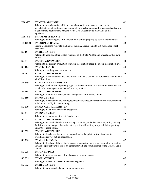| HB 3507        | <b>BY KEN MARCHANT</b>                                                                                                                                                                                                                                              | 42 |
|----------------|---------------------------------------------------------------------------------------------------------------------------------------------------------------------------------------------------------------------------------------------------------------------|----|
|                | Relating to nonsubstantive additions to and corrections in enacted codes, to the<br>nonsubstantive codification or disposition of various laws omitted from enacted codes, and<br>to conforming codifications enacted by the 77th Legislature to other Acts of that |    |
|                | legislature.                                                                                                                                                                                                                                                        |    |
| HB 3591        | <b>BY JIM PITTS SENATE</b>                                                                                                                                                                                                                                          | 43 |
| <b>HCR 204</b> | Relating to authorizing the strip annexation of certain property by certain municipalities.<br><b>BY NORMA CHAVEZ</b>                                                                                                                                               | 43 |
|                | Urging Congress to reinstate funding for the EPA Border Fund to \$75 million for fiscal<br>year 2004.                                                                                                                                                               |    |
| <b>SB19</b>    | <b>BY BILL RATLIFF</b>                                                                                                                                                                                                                                              | 43 |
|                | Relating to audit and other related functions of the State Auditor and of certain other state<br>entities.                                                                                                                                                          |    |
| <b>SB 84</b>   | <b>BY JEFF WENTWORTH</b>                                                                                                                                                                                                                                            | 44 |
|                | Relating to the prompt production of public information under the public information law.                                                                                                                                                                           |    |
| <b>SB 185</b>  | <b>BY KYLE JANEK</b>                                                                                                                                                                                                                                                | 44 |
|                | Relating to standing water as a nuisance.                                                                                                                                                                                                                           |    |
| <b>SB 261</b>  | <b>BY ELIOT SHAPLEIGH</b>                                                                                                                                                                                                                                           | 44 |
|                | Relating to the continuation and functions of the Texas Council on Purchasing from People<br>with Disabilities.                                                                                                                                                     |    |
| <b>SB 349</b>  | <b>BY KENNETH ARMBRISTER</b>                                                                                                                                                                                                                                        | 44 |
|                | Relating to the intellectual property rights of the Department of Information Resources and<br>certain other state agency intellectual property matters.                                                                                                            |    |
| <b>SB</b> 394  | <b>BY ELIOT SHAPLEIGH</b>                                                                                                                                                                                                                                           | 45 |
|                | Relating to the Records Management Interagency Coordinating Council.                                                                                                                                                                                                |    |
| SB 599         | <b>BY ROYCE WEST</b>                                                                                                                                                                                                                                                | 45 |
|                | Relating to investigation and testing, technical assistance, and certain other matters related                                                                                                                                                                      |    |
| SB 619         | to indoor air quality in state buildings.<br><b>BY KENNETH ARMBRISTER</b>                                                                                                                                                                                           | 45 |
|                | Relating to oil spill prevention and response.                                                                                                                                                                                                                      |    |
| <b>SB 641</b>  | <b>BY ROYCE WEST</b>                                                                                                                                                                                                                                                | 46 |
|                | Relating to presumptions for state land records.                                                                                                                                                                                                                    |    |
| <b>SB 652</b>  | <b>BY ELIOT SHAPLEIGH</b>                                                                                                                                                                                                                                           | 46 |
|                | Relating to economic development, strategic planning, and other issues regarding military<br>facilities, and the merger of certain state agencies with military responsibilities; granting<br>authority to issue bonds.                                             |    |
| SB 653         | <b>BY JEFF WENTWORTH</b>                                                                                                                                                                                                                                            | 46 |
|                | Relating to the charges that may be imposed under the public information law for<br>providing a copy of public information.                                                                                                                                         |    |
| <b>SB 710</b>  | <b>BY MIKE JACKSON</b>                                                                                                                                                                                                                                              | 47 |
|                | Relating to the share of the cost of a coastal erosion study or project required to be paid by<br>a qualified project partner under an agreement with the commissioner of the General Land<br>Office.                                                               |    |
| <b>SB 735</b>  | <b>BY JON LINDSAY</b>                                                                                                                                                                                                                                               | 47 |
|                | Relating to local government officials serving on state boards.                                                                                                                                                                                                     |    |
| <b>SB</b> 775  | <b>BY KIP AVERITT</b>                                                                                                                                                                                                                                               | 47 |
|                | Relating to the use of TexasOnline by state agencies.                                                                                                                                                                                                               |    |
| <b>SB 912</b>  | <b>BY BILL RATLIFF</b>                                                                                                                                                                                                                                              | 47 |
|                | Relating to surplus and salvage computer equipment.                                                                                                                                                                                                                 |    |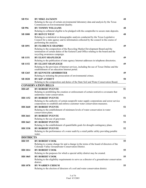| <b>SB 934</b>    | <b>BY MIKE JACKSON</b><br>Relating to the use of certain environmental laboratory data and analysis by the Texas                                                                                                                       | 48 |
|------------------|----------------------------------------------------------------------------------------------------------------------------------------------------------------------------------------------------------------------------------------|----|
|                  | Commission on Environmental Quality.                                                                                                                                                                                                   |    |
| <b>SB</b> 996    | <b>BY TOMMY WILLIAMS</b><br>Relating to collateral eligible to be pledged with the comptroller to secure state deposits.                                                                                                               | 48 |
| <b>SB 1000</b>   | <b>BY ROYCE WEST</b><br>Relating to a statistical or demographic analysis conducted by the Texas Legislative<br>Council for a state agency and to information collected by the council in the course of<br>performing the analysis.    | 48 |
| <b>SB 1091</b>   | <b>BY FLORENCE SHAPIRO</b><br>Relating to the composition of the Recycling Market Development Board and the<br>termination of certain duties of the General Land Office relating to the board and the<br>recycling awareness campaign. | 49 |
| <b>SB</b> 1151   | <b>BY ELIOT SHAPLEIGH</b><br>Relating to the publication of state agency Internet addresses in telephone directories.                                                                                                                  | 49 |
| <b>SB 1152</b>   | <b>BY ELLIOT SHAPLEIGH</b><br>Relating to the provision of Internet services, including the use of Texas Online and the<br>establishment of an education Internet portal.                                                              | 49 |
| <b>SB 1265</b>   | <b>BY KENNETH ARMBRISTER</b><br>Relating to initiating the prosecution of environmental crimes.                                                                                                                                        | 49 |
| <b>SB 1828</b>   | <b>BY KIP AVERITT</b><br>Relating to the composition and duties of the State Soil and Water Conservation Board.                                                                                                                        | 50 |
|                  | <b>CONSERVATION BILLS</b>                                                                                                                                                                                                              |    |
| HB 645           | <b>BY ROBERT PUENTE</b><br>Relating to prohibiting the creation or enforcement of certain restrictive covenants that<br>undermine water conservation.                                                                                  | 51 |
| <b>HB</b> 1152   | <b>BY ROBERT PUENTE</b><br>Relating to the authority of certain nonprofit water supply corporations and sewer service<br>corporations to establish and enforce customer water conservation measures.                                   | 51 |
| <b>HB 2660</b>   | <b>BY ROBERT PUENTE</b><br>Relating to the establishment of minimum levels of water conservation in water<br>conservation plans.                                                                                                       | 52 |
| <b>HB</b> 2661   | <b>BY ROBERT PUENTE</b><br>Relating to the use of graywater.                                                                                                                                                                           | 52 |
| <b>HB 2663</b>   | <b>BY ROBERT PUENTE</b><br>Relating to the establishment of quantifiable goals for drought contingency plans.                                                                                                                          | 52 |
| <b>HB</b> 3338   | <b>BY ROBERT PUENTE</b><br>Relating to the performance of a water audit by a retail public utility providing potable<br>water.                                                                                                         | 52 |
| <b>DISTRICTS</b> |                                                                                                                                                                                                                                        |    |
| HB 535           | <b>BY ROBERT COOK</b><br>Relating to a name change for and a change in the terms of the board of directors of the<br>Colorado Valley Groundwater Conservation District.                                                                | 55 |
| <b>HB</b> 1014   | <b>BY ROBERT COOK</b><br>Relating to the purposes for which a special utility district may be created.                                                                                                                                 | 55 |
| <b>HB</b> 1065   | <b>BY ROBERT COOK</b><br>Relating to the eligibility requirements to serve as a director of a groundwater conservation<br>district.                                                                                                    | 55 |
| <b>HB</b> 1078   | <b>BY WARREN CHISUM</b><br>Relating to the election of directors of a soil and water conservation district.                                                                                                                            | 55 |
|                  |                                                                                                                                                                                                                                        |    |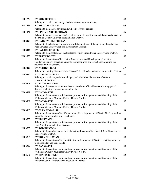| HB 1534        | <b>BY ROBERT COOK</b>                                                                                                                                                                           | 55 |
|----------------|-------------------------------------------------------------------------------------------------------------------------------------------------------------------------------------------------|----|
|                | Relating to certain powers of groundwater conservation districts.                                                                                                                               |    |
| <b>HB</b> 1541 | <b>BY BILL CALLEGARI</b>                                                                                                                                                                        | 56 |
|                | Relating to the general powers and authority of water districts.                                                                                                                                |    |
| <b>HB</b> 1832 | <b>BY LINDA HARPER-BROWN</b>                                                                                                                                                                    | 56 |
|                | Relating to certain powers of the City of Irving with regard to and validating certain acts of<br>the Dallas County Utility and Reclamation District.                                           |    |
| HB 2074        | <b>BY HARVEY HILDERBRAN</b>                                                                                                                                                                     | 56 |
|                | Relating to the election of directors and validation of acts of the governing board of the<br>Real-Edwards Conservation and Reclamation District.                                               |    |
| HB 2348        | <b>BY CARTER CASTEEL</b>                                                                                                                                                                        | 56 |
|                | Relating to the dissolution of the Southeast Trinity Groundwater Conservation District.                                                                                                         |    |
| <b>HB 2533</b> | <b>BY BETTY BROWN</b>                                                                                                                                                                           | 57 |
|                | Relating to the creation of Lake View Management and Development District in<br>Henderson County; providing authority to impose a tax and issue bonds; granting the<br>power of eminent domain. |    |
| HB 3229        | <b>BY PATRICK ROSE</b>                                                                                                                                                                          | 57 |
|                | Relating to electing directors of the Blanco-Pedernales Groundwater Conservation District.                                                                                                      |    |
| <b>HB</b> 3442 | <b>BY JOSEPH PICKETT</b>                                                                                                                                                                        | 57 |
|                | Relating to certain expenditures, charges, and other financial matters of certain<br>governmental entities.                                                                                     |    |
| <b>HB</b> 3508 | <b>BY KEN MARCHANT</b>                                                                                                                                                                          | 57 |
|                | Relating to the adoption of a nonsubstantive revision of local laws concerning special                                                                                                          |    |
|                | districts, including conforming amendments.                                                                                                                                                     |    |
| HB 3559        | <b>BY DAN GATTIS</b>                                                                                                                                                                            | 57 |
|                | Relating to the creation, administration, powers, duties, operation, and financing of the<br>Williamson County Municipal Utility District No. 13.                                               |    |
| <b>HB</b> 3560 | <b>BY DAN GATTIS</b>                                                                                                                                                                            | 57 |
|                | Relating to the creation, administration, powers, duties, operation, and financing of the<br>Williamson County Municipal Utility District No. 12.                                               |    |
| <b>HB</b> 3563 | BY GLEN HEGAR, JR                                                                                                                                                                               | 58 |
|                | Relating to the creation of the Waller County Road Improvement District No. 1; providing                                                                                                        |    |
|                | authority to impose a tax and issue bonds.                                                                                                                                                      |    |
| HB 3565        | <b>BY TERRY KEEL</b>                                                                                                                                                                            | 58 |
|                | Relating to the creation, administration, powers, duties, operation, and financing of the<br>Lazy Nine Municipal Utility District.                                                              |    |
| <b>HB</b> 3567 | <b>BY ROBERT COOK</b>                                                                                                                                                                           | 58 |
|                | Relating to the number and method of electing directors of the Coastal Bend Groundwater                                                                                                         |    |
|                | <b>Conservation District.</b>                                                                                                                                                                   |    |
| <b>HB</b> 3583 | BY TOBY GOODMAN                                                                                                                                                                                 | 59 |
|                | Relating to the creation of the Great Southwest Improvement District; providing authority<br>to impose a tax and issue bonds.                                                                   |    |
| HB 3594        | <b>BY DAN GATTIS</b>                                                                                                                                                                            | 59 |
|                | Relating to the creation, administration, powers, duties, operation, and financing of the<br>Williamson County Municipal Utility District No. 14.                                               |    |
| <b>HB</b> 3602 | <b>BY DENNIS BONNEN</b>                                                                                                                                                                         | 59 |
|                | Relating to the creation, administration, powers, duties, operation, and financing of the<br>Brazoria County Groundwater Conservation District.                                                 |    |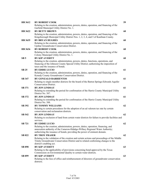| HB 3612         | <b>BY ROBERT COOK</b>                                                                                                                                                                                               | 59 |
|-----------------|---------------------------------------------------------------------------------------------------------------------------------------------------------------------------------------------------------------------|----|
|                 | Relating to the creation, administration, powers, duties, operation, and financing of the<br>Garfield Municipal Utility District No. 1.                                                                             |    |
| HB 3622         | <b>BY BETTY BROWN</b>                                                                                                                                                                                               | 60 |
|                 | Relating to the creation, administration, powers, duties, operation, and financing of the<br>Kingsborough Municipal Utility District Nos. 1, 2, 3, 4, and 5 of Kaufman County.                                      |    |
| <b>HB</b> 3635  | <b>BY BRYAN HUGHES</b>                                                                                                                                                                                              | 60 |
|                 | Relating to the creation, administration, powers, duties, operation, and financing of the<br>Upshur Groundwater Conservation District.                                                                              |    |
| HB 3636         | <b>BY ROBERT COOK</b>                                                                                                                                                                                               | 60 |
|                 | Relating to the creation, administration, powers, duties, operation, and financing of the<br>Colony Municipal Utility District No. 1.                                                                               |    |
| SB <sub>5</sub> | <b>BY KIP AVERITT</b>                                                                                                                                                                                               | 60 |
|                 | Relating to the creation, administration, powers, duties, functions, operations, and<br>financing of the Johnson County Special Utility District; authorizing the imposition of<br>taxes and the issuance of bonds. |    |
| <b>SB 25</b>    | <b>BY EDDIE LUCIO</b>                                                                                                                                                                                               | 61 |
|                 | Relating to the creation, administration, powers, duties, operation, and financing of the<br>Kenedy County Groundwater Conservation District.                                                                       |    |
| <b>SB 347</b>   | <b>BY GONZALO BARRIENTOS</b>                                                                                                                                                                                        | 61 |
|                 | Relating to single-member districts for the board of the Barton Springs-Edwards Aquifer<br>Conservation District.                                                                                                   |    |
| <b>SB 371</b>   | <b>BY JON LINDSAY</b>                                                                                                                                                                                               | 61 |
|                 | Relating to extending the period for confirmation of the Harris County Municipal Utility<br>District No. 387.                                                                                                       |    |
| <b>SB 372</b>   | <b>BY JON LINDSAY</b>                                                                                                                                                                                               | 61 |
|                 | Relating to extending the period for confirmation of the Harris County Municipal Utility<br>District No. 388.                                                                                                       |    |
| <b>SB 392</b>   | <b>BY TOMMY WILLIAMS</b>                                                                                                                                                                                            | 62 |
|                 | Relating to certain procedures for the adoption of an ad valorem tax rate by certain<br>conservation and reclamation districts.                                                                                     |    |
| <b>SB 542</b>   | <b>BY JON LINDSAY</b>                                                                                                                                                                                               | 62 |
|                 | Relating to exclusion of land from certain water districts for failure to provide facilities and<br>services.                                                                                                       |    |
| <b>SB</b> 721   | <b>BY EDDIE LUCIO</b>                                                                                                                                                                                               | 62 |
|                 | Relating to the creation, administration, powers, duties, operation, financing, and<br>annexation authority of the Cameron-Hidalgo-Willacy Regional Water Authority;                                                |    |
|                 | authorizing the issuance of bonds; providing the power of eminent domain.                                                                                                                                           |    |
| <b>SB 822</b>   | <b>BY TROY FRASER</b>                                                                                                                                                                                               | 62 |
|                 | Relating to the validation of the creation and certain actions and proceedings of the Middle                                                                                                                        |    |
|                 | Trinity Groundwater Conservation District and to related conforming changes to the<br>district's enabling act.                                                                                                      |    |
| <b>SB 898</b>   | <b>BY KIP AVERITT</b>                                                                                                                                                                                               | 63 |
|                 | Relating to the applicability of provisions concerning bond approval by the Texas<br>Commission on Environmental Quality to certain water districts.                                                                |    |
| SB 899          | <b>BY KIP AVERITT</b>                                                                                                                                                                                               | 63 |
|                 | Relating to the fees of office and reimbursement of directors of groundwater conservation<br>districts.                                                                                                             |    |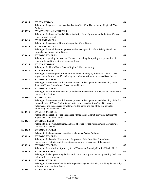| <b>SB 1035</b> | <b>BY JON LINDAY</b>                                                                                                                                                                                                                                                                                     | 63 |
|----------------|----------------------------------------------------------------------------------------------------------------------------------------------------------------------------------------------------------------------------------------------------------------------------------------------------------|----|
|                | Relating to the general powers and authority of the West Harris County Regional Water<br>Authority.                                                                                                                                                                                                      |    |
| <b>SB</b> 1276 | <b>BY KENNETH ARMBRISTER</b>                                                                                                                                                                                                                                                                             | 63 |
|                | Relating to the Lavaca-Navidad River Authority, formerly known as the Jackson County<br>Flood Control District.                                                                                                                                                                                          |    |
| <b>SB 1494</b> | <b>BY FRANK MADLA</b>                                                                                                                                                                                                                                                                                    | 63 |
|                | Relating to the powers of Bexar Metropolitan Water District.                                                                                                                                                                                                                                             |    |
| <b>SB 1570</b> | <b>BY FRANK MADLA</b>                                                                                                                                                                                                                                                                                    | 64 |
|                | Relating to the administration, powers, duties, and operation of the Trinity Glen Rose<br>Groundwater Conservation District.                                                                                                                                                                             |    |
| <b>SB 1639</b> | <b>BY TODD STAPLES</b>                                                                                                                                                                                                                                                                                   | 64 |
|                | Relating to regulating the waters of the state, including the spacing and production of<br>groundwater and the control of instream flows.                                                                                                                                                                |    |
| <b>SB</b> 1725 | <b>BY JON LINDSAY</b>                                                                                                                                                                                                                                                                                    | 64 |
|                | Relating to the North Harris County Regional Water Authority.                                                                                                                                                                                                                                            |    |
| <b>SB 1883</b> | <b>BY KYLE JANEK</b>                                                                                                                                                                                                                                                                                     | 64 |
|                | Relating to the assumption of road utility district authority by Fort Bend County Levee<br>Improvement District No. 15, including the authority to impose taxes and issue bonds.                                                                                                                         |    |
| <b>SB 1888</b> | <b>BY TODD STAPLES</b>                                                                                                                                                                                                                                                                                   | 65 |
|                | Relating to the creation, administration, powers, duties, operation, and financing of the<br>Southeast Texas Groundwater Conservation District.                                                                                                                                                          |    |
| <b>SB 1899</b> | <b>BY TODD STAPLES</b>                                                                                                                                                                                                                                                                                   | 65 |
|                | Relating to permit requirements for groundwater transfers out of Pineywoods Groundwater<br>Conservation District.                                                                                                                                                                                        |    |
| <b>SB 1902</b> | <b>BY EDDIE LUCIO</b>                                                                                                                                                                                                                                                                                    | 65 |
|                | Relating to the creation, administration, powers, duties, operation, and financing of the Rio<br>Grande Regional Water Authority and to the powers and duties of the Rio Grande<br>watermaster and the delivery of water down the banks and bed of the Rio Grande;<br>authorizing the issuance of bonds. |    |
| <b>SB 1912</b> | <b>BY MIKE JACKSON</b>                                                                                                                                                                                                                                                                                   | 66 |
|                | Relating to the creation of the Harborside Management District; providing authority to<br>impose taxes and issue bonds.                                                                                                                                                                                  |    |
| <b>SB 1925</b> | <b>BY CRAIG ESTES</b>                                                                                                                                                                                                                                                                                    | 66 |
|                | Relating to the powers, financing, and fees of office for the Rolling Plains Groundwater<br>Conservation District.                                                                                                                                                                                       |    |
| <b>SB 1928</b> | <b>BY TODD STAPLES</b>                                                                                                                                                                                                                                                                                   | 66 |
|                | Relating to the boundaries of the Athens Municipal Water Authority.                                                                                                                                                                                                                                      |    |
| <b>SB 1930</b> | <b>BY TODD STAPLES</b>                                                                                                                                                                                                                                                                                   | 66 |
|                | Relating to the board of directors and the powers of the Lone Star Groundwater<br>Conservation District; validating certain actions and proceedings of the district.                                                                                                                                     |    |
| <b>SB 1933</b> | <b>BY TODD STAPLES</b>                                                                                                                                                                                                                                                                                   | 67 |
|                | Relating to the exclusion of property from Waterwood Municipal Utility District No. 1.                                                                                                                                                                                                                   |    |
| <b>SB 1935</b> | <b>BY TROY FRASER</b>                                                                                                                                                                                                                                                                                    | 67 |
|                | Relating to the law governing the Brazos River Authority and the law governing the Lower<br>Colorado River Authority.                                                                                                                                                                                    |    |
| <b>SB 1936</b> | <b>BY RODNEY ELLIS</b>                                                                                                                                                                                                                                                                                   | 74 |
|                | Relating to the creation of the Buffalo Bayou Management District; providing the authority<br>to impose taxes and issue bonds.                                                                                                                                                                           |    |
| <b>SB 1941</b> | <b>BY KIP AVERITT</b>                                                                                                                                                                                                                                                                                    | 67 |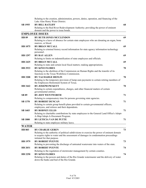|                | Relating to the creation, administration, powers, duties, operation, and financing of the<br>Lake Alan Henry Water District.           |    |
|----------------|----------------------------------------------------------------------------------------------------------------------------------------|----|
| <b>SB 1955</b> | <b>BY BILL RATLIFF</b>                                                                                                                 | 68 |
|                | Relating to the Red River Redevelopment Authority; providing the power of eminent                                                      |    |
|                | domain and the power to issue bonds.                                                                                                   |    |
|                | <b>EMPLOYEE ISSUES</b>                                                                                                                 |    |
| <b>HB</b> 89   | BY RUTH JONES MCCLENDON                                                                                                                | 69 |
|                | Relating to a leave of absence for certain state employees who are donating an organ, bone<br>marrow, or blood.                        |    |
| <b>HB</b> 1075 | <b>BY BRIAN MCCALL</b>                                                                                                                 | 69 |
|                | Relating to criminal history record information for state agency information technology<br>personnel.                                  |    |
| HB 1297        | <b>BY RAY ALLEN</b>                                                                                                                    | 69 |
|                | Relating to limits on indemnification of state employees and officials.                                                                |    |
| HB 2425        | <b>BY BRIAN MCCALL</b>                                                                                                                 | 69 |
|                | Relating to state and certain local fiscal matters; making appropriations.                                                             |    |
| HB 2933        | <b>BY KINO FLORES</b>                                                                                                                  | 70 |
|                | Relating to the abolition of the Commission on Human Rights and the transfer of its<br>functions to the Texas Workforce Commission.    |    |
| <b>HB</b> 3208 | <b>BY TALMADGE HEFLIN</b>                                                                                                              | 70 |
|                | Relating to the temporary provision of lump-sum payments to certain retiring members of<br>the Employees Retirement System of Texas.   |    |
| HB 3442        | <b>BY JOSEPH PICKETT</b>                                                                                                               | 70 |
|                | Relating to certain expenditures, charges, and other financial matters of certain                                                      |    |
|                | governmental entities.                                                                                                                 |    |
| <b>SB 89</b>   | <b>BY JEFF WENTWORTH</b>                                                                                                               | 71 |
|                | Relating to compensatory time for persons governing state agencies.<br><b>BY ROBERT DUNCAN</b>                                         | 71 |
| <b>SB 1370</b> | Relating to certain group benefit plans provided to certain governmental officers,                                                     |    |
|                | employees, and retirees and their dependents.                                                                                          |    |
| <b>SB 1603</b> | <b>BY RODNEY ELLIS</b>                                                                                                                 | 71 |
|                | Relating to charitable contributions by state employees to the General Land Office's Adopt-                                            |    |
|                | A-Map/Adopt-A-Document Program.                                                                                                        |    |
| <b>SB 1800</b> | <b>BY LETICIA VAN DE PUTTE</b>                                                                                                         | 71 |
|                | Relating to state employee military leave.                                                                                             |    |
| <b>WATER</b>   |                                                                                                                                        |    |
| <b>HB 803</b>  | <b>BY CHARLIE GEREN</b>                                                                                                                | 73 |
|                | Relating to the authority of political subdivisions to exercise the power of eminent domain                                            |    |
|                | to acquire rights to water and the assessment of damages in condemnation proceedings<br>initiated for that purpose.                    |    |
| <b>HB</b> 1979 | <b>BY ROBERT PUENTE</b>                                                                                                                | 73 |
|                | Relating to preventing the discharge of untreated wastewater into waters of the state.                                                 |    |
| <b>HB 2031</b> | <b>BY ROBERT PUENTE</b>                                                                                                                | 74 |
|                | Relating to the regulation of stormwater management by certain counties.                                                               |    |
| <b>HB 2250</b> | <b>BY KINO FLORES</b>                                                                                                                  | 74 |
|                | Relating to the powers and duties of the Rio Grande watermaster and the delivery of water<br>down the banks and bed of the Rio Grande. |    |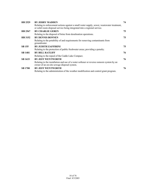| HB 2529        | <b>BY JERRY MADDEN</b>                                                                                                                                                  | 74 |
|----------------|-------------------------------------------------------------------------------------------------------------------------------------------------------------------------|----|
|                | Relating to enforcement actions against a small water supply, sewer, wastewater treatment,<br>or solid waste disposal service being integrated into a regional service. |    |
| HB 2567        | <b>BY CHARLIE GEREN</b>                                                                                                                                                 | 75 |
|                | Relating to the disposal of brine from desalination operations.                                                                                                         |    |
| <b>HB</b> 3152 | <b>BY DENNIS BONNEN</b>                                                                                                                                                 | 75 |
|                | Relating to the potability of and requirements for removing contaminants from<br>groundwater.                                                                           |    |
| <b>SB 155</b>  | <b>BY JUDITH ZAFFIRINI</b>                                                                                                                                              | 75 |
|                | Relating to the protection of public freshwater areas; providing a penalty.                                                                                             |    |
| <b>SB</b> 1481 | <b>BY BILL RATLIFF</b>                                                                                                                                                  | 76 |
|                | Relating to the repeal of the Caddo Lake Compact.                                                                                                                       |    |
| <b>SB</b> 1633 | <b>BY JEFF WENTWORTH</b>                                                                                                                                                | 76 |
|                | Relating to the installation and use of a water softener or reverse osmosis system by an<br>owner of an on-site sewage disposal system.                                 |    |
| <b>SB 1700</b> | <b>BY JEFF WENTWORTH</b>                                                                                                                                                | 76 |
|                | Relating to the administration of the weather modification and control grant program.                                                                                   |    |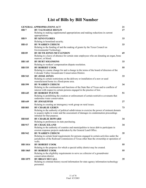# **List of Bills by Bill Number**

|                | <b>GENERAL APPROPRIATIONS ACT</b>                                                                                                              | 21 |
|----------------|------------------------------------------------------------------------------------------------------------------------------------------------|----|
| <b>HB</b> 7    | <b>BY TALMADGE HEFLIN</b>                                                                                                                      | 27 |
|                | Relating to making supplemental appropriations and making reductions in current                                                                |    |
|                | appropriations                                                                                                                                 |    |
| <b>HB9</b>     | <b>BY KINO FLORES</b>                                                                                                                          | 33 |
|                | Relating to homeland security.                                                                                                                 |    |
| <b>HB</b> 43   | <b>BY WARREN CHISUM</b>                                                                                                                        | 33 |
|                | Relating to the funding of and the making of grants by the Texas Council on                                                                    |    |
|                | Environmental Technology.                                                                                                                      |    |
| <b>HB 89</b>   | <b>BY RUTH JONES MCCLENDON</b>                                                                                                                 | 69 |
|                | Relating to a leave of absence for certain state employees who are donating an organ, bone                                                     |    |
|                | marrow, or blood.                                                                                                                              |    |
| <b>HB</b> 145  | <b>BY BURT SOLOMONS</b>                                                                                                                        | 33 |
|                | Relating to workers' compensation dispute resolution.                                                                                          |    |
| HB 535         | <b>BY ROBERT COOK</b>                                                                                                                          | 55 |
|                | Relating to a name change for and a change in the terms of the board of directors of the<br>Colorado Valley Groundwater Conservation District. |    |
| <b>HB</b> 543  | <b>BY JESSE JONES</b>                                                                                                                          | 33 |
|                | Relating to certain restrictions on the delivery or installation of a new or used                                                              |    |
|                | manufactured home in a flood-prone area.                                                                                                       |    |
| HB 599         | <b>BY WARREN CHISUM</b>                                                                                                                        | 34 |
|                | Relating to the continuation and functions of the State Bar of Texas and to conflicts of                                                       |    |
|                | interest with respect to certain persons engaged in the practice of law.                                                                       |    |
| <b>HB</b> 645  | <b>BY ROBERT PUENTE</b>                                                                                                                        | 51 |
|                | Relating to prohibiting the creation or enforcement of certain restrictive covenants that                                                      |    |
|                | undermine water conservation.                                                                                                                  |    |
| <b>HB</b> 649  | <b>BY JIM KEFFER</b>                                                                                                                           | 27 |
|                | Relating to creating an interagency work group on rural issues.                                                                                |    |
| <b>HB 803</b>  | <b>BY CHARLIE GEREN</b>                                                                                                                        | 73 |
|                | Relating to the authority of political subdivisions to exercise the power of eminent domain                                                    |    |
|                | to acquire rights to water and the assessment of damages in condemnation proceedings                                                           |    |
| <b>HB 845</b>  | initiated for that purpose.<br><b>BY CHARLIE HOWARD</b>                                                                                        | 34 |
|                |                                                                                                                                                |    |
| <b>HB</b> 917  | Relating to preferences in state purchasing.<br><b>BY CRAIG EILAND</b>                                                                         | 34 |
|                | Relating to the authority of counties and municipalities to incur debt to participate in                                                       |    |
|                | erosion response projects undertaken by the General Land Office.                                                                               |    |
| HB 942         | <b>BY WARREN CHISUM</b>                                                                                                                        | 35 |
|                | Relating to certain bond requirements for persons engaged in certain activities under the                                                      |    |
|                | jurisdiction of the Railroad Commission of Texas other than the ownership or operation of                                                      |    |
|                | wells.                                                                                                                                         |    |
| <b>HB</b> 1014 | <b>BY ROBERT COOK</b>                                                                                                                          | 55 |
|                | Relating to the purposes for which a special utility district may be created.                                                                  |    |
| <b>HB</b> 1065 | <b>BY ROBERT COOK</b>                                                                                                                          | 55 |
|                | Relating to the eligibility requirements to serve as a director of a groundwater                                                               |    |
|                | conservation district.                                                                                                                         |    |
| <b>HB</b> 1075 | <b>BY BRIAN MCCALL</b>                                                                                                                         | 35 |
|                | Relating to criminal history record information for state agency information technology                                                        |    |
|                | personnel.                                                                                                                                     |    |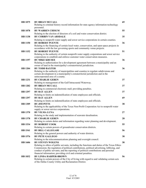| <b>HB</b> 1075 | <b>BY BRIAN MCCALL</b>                                                                                            | 69 |
|----------------|-------------------------------------------------------------------------------------------------------------------|----|
|                | Relating to criminal history record information for state agency information technology                           |    |
|                | personnel.                                                                                                        |    |
| <b>HB</b> 1078 | <b>BY WARREN CHISUM</b>                                                                                           | 55 |
| <b>HB</b> 1138 | Relating to the election of directors of a soil and water conservation district.<br><b>BY CORBIN VAN ARSDALE</b>  | 35 |
|                |                                                                                                                   |    |
|                | Relating to nonprofit water supply and sewer service corporations in certain counties.<br><b>BY ROBERT PUENTE</b> |    |
| <b>HB</b> 1150 | Relating to the financing of certain local water, conservation, and open-space projects in                        | 36 |
|                | accordance with the law governing sports and community venue projects.                                            |    |
| <b>HB</b> 1152 | <b>BY ROBERT PUENTE</b>                                                                                           | 51 |
|                | Relating to the authority of certain nonprofit water supply corporations and sewer service                        |    |
|                | corporations to establish and enforce customer water conservation measures.                                       |    |
| <b>HB</b> 1197 | <b>BY MIKE KRUSEE</b>                                                                                             | 36 |
|                | Relating to authorization for a development agreement between a municipality and an                               |    |
|                | owner of land in the municipality's extraterritorial jurisdiction.                                                |    |
| <b>HB</b> 1204 | <b>BY TODD BAXTER</b>                                                                                             | 36 |
|                | Relating to the authority of municipalities and counties to regulate subdivisions and                             |    |
|                | certain development in a municipality's extraterritorial jurisdiction and in the                                  |    |
| <b>HB</b> 1231 | unincorporated area of a county.<br><b>BY CHARLIE GEREN</b>                                                       | 37 |
|                | Relating to management of the Gulf Intracoastal Waterway.                                                         |    |
| <b>HB</b> 1282 | <b>BY BRIAN MCCALL</b>                                                                                            | 37 |
|                | Relating to commercial electronic mail; providing penalties.                                                      |    |
| <b>HB</b> 1297 | <b>BY RAY ALLEN</b>                                                                                               | 37 |
|                | Relating to limits on indemnification of state employees and officials.                                           |    |
| <b>HB</b> 1297 | <b>BY RAY ALLEN</b>                                                                                               | 69 |
|                | Relating to limits on indemnification of state employees and officials.                                           |    |
| <b>HB</b> 1309 | <b>BY JIM PITTS</b>                                                                                               | 38 |
|                | Relating to the applicability of the Texas Non-Profit Corporation Act to nonprofit water                          |    |
|                | supply or sewer service corporations.                                                                             |    |
| <b>HB</b> 1370 | <b>BY VILMA LUNA</b>                                                                                              | 27 |
|                | Relating to the study and implementation of seawater desalination.                                                |    |
| <b>HB</b> 1378 | <b>BY CHARLIE GEREN</b>                                                                                           | 28 |
|                | Relating to certain duties and information regarding water planning and development.                              |    |
| <b>HB</b> 1534 | <b>BY ROBERT COOK</b>                                                                                             | 55 |
|                | Relating to certain powers of groundwater conservation districts.                                                 |    |
| <b>HB</b> 1541 | <b>BY BILL CALLEGARI</b>                                                                                          | 56 |
|                | Relating to the general powers and authority of water districts.<br><b>BY PETE GALLEGO</b>                        | 38 |
| <b>HB</b> 1576 | Relating to the telecommunications planning and oversight council.                                                |    |
| <b>HB</b> 1606 | <b>BY STEVEN WOLENS</b>                                                                                           | 38 |
|                | Relating to ethics of public servants, including the functions and duties of the Texas Ethics                     |    |
|                | Commission; the regulation of political contributions, political advertising, lobbying, and                       |    |
|                | conduct of public servants; and the reporting of political contributions and personal                             |    |
|                | financial information; providing civil and criminal penalties.                                                    |    |
| <b>HB</b> 1832 | <b>BY LINDA HARPER-BROWN</b>                                                                                      | 56 |
|                | Relating to certain powers of the City of Irving with regard to and validating certain acts                       |    |
|                | of the Dallas County Utility and Reclamation District.                                                            |    |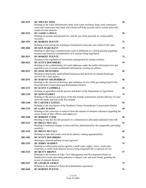| <b>HB</b> 1875 | <b>BY MIGUEL WISE</b><br>Relating to the water infrastructure fund, rural water assistance fund, rural community<br>water and wastewater loan fund, and colonia self-help account; and to certain notes and | 28 |
|----------------|-------------------------------------------------------------------------------------------------------------------------------------------------------------------------------------------------------------|----|
|                | bonds of water districts.                                                                                                                                                                                   |    |
| <b>HB</b> 1934 | <b>BY JAIME CAPELO</b>                                                                                                                                                                                      | 38 |
|                | Relating to security and payment for, and the use of the proceeds of, certain public<br>securities.                                                                                                         |    |
| HB 1979        | <b>BY ROBERT PUENTE</b>                                                                                                                                                                                     | 73 |
|                | Relating to preventing the discharge of untreated was tewater into waters of the state.                                                                                                                     |    |
| <b>HB 2004</b> | <b>BY KEN MARCHANT</b>                                                                                                                                                                                      | 39 |
|                | Relating to allowing a commissioners court to deliberate in a closed meeting regarding<br>business and financial considerations of a contract being negotiated.                                             |    |
| <b>HB 2031</b> | <b>BY ROBERT PUENTE</b>                                                                                                                                                                                     | 74 |
|                | Relating to the regulation of stormwater management by certain counties.                                                                                                                                    |    |
| HB 2032        | <b>BY SCOTT HOCHBERG</b>                                                                                                                                                                                    | 39 |
|                | Relating to the confidentiality of e-mail addresses under the public information law and<br>legislative use of certain confidential information; creating an offense.                                       |    |
| HB 2033        | <b>BY JOSE MENENDEZ</b>                                                                                                                                                                                     | 40 |
|                | Relating to historically underutilized businesses that perform investment brokerage                                                                                                                         |    |
|                | services for a state agency.                                                                                                                                                                                |    |
| HB 2074        | <b>BY HARVEY HILDERBRAN</b>                                                                                                                                                                                 | 56 |
|                | Relating to the election of directors and validation of acts of the governing board of the                                                                                                                  |    |
|                | Real-Edwards Conservation and Reclamation District.                                                                                                                                                         |    |
| <b>HB 2133</b> | <b>BY SCOTT CAMPBELL</b>                                                                                                                                                                                    | 40 |
|                | Relating to agriculture and the powers and duties of the Department of Agriculture.                                                                                                                         |    |
| <b>HB 2250</b> | <b>BY KINO FLORES</b>                                                                                                                                                                                       | 74 |
|                | Relating to the powers and duties of the Rio Grande watermaster and the delivery of water<br>down the banks and bed of the Rio Grande.                                                                      |    |
| <b>HB 2348</b> | <b>BY CARTER CASTEEL</b>                                                                                                                                                                                    | 56 |
|                | Relating to the dissolution of the Southeast Trinity Groundwater Conservation District.                                                                                                                     |    |
| HB 2376        | <b>BY GARY ELKINS</b><br>Relating to the correction or removal from the statutes of obsolete references regarding the                                                                                       | 40 |
|                | surety bonds of state officers and employees.                                                                                                                                                               |    |
| <b>HB 2388</b> | <b>BY ROBERT COOK</b>                                                                                                                                                                                       | 40 |
|                | Relating to late fees for late payment of a submetered or allocated residential water bill.                                                                                                                 |    |
| HB 2424        | <b>BY BRIAN MCCALL</b>                                                                                                                                                                                      | 41 |
|                | Relating to technical changes to taxes and fees administered by the comptroller; providing                                                                                                                  |    |
|                | penalties.                                                                                                                                                                                                  |    |
| HB 2425        | <b>BY BRIAN MCCALL</b>                                                                                                                                                                                      | 69 |
|                | Relating to state and certain local fiscal matters; making appropriations.                                                                                                                                  |    |
| HB 2485        | <b>BY SCOTT HOCHBERG</b>                                                                                                                                                                                    | 29 |
|                | Relating to internal auditing of state agencies.                                                                                                                                                            |    |
| HB 2529        | <b>BY JERRY MADDEN</b>                                                                                                                                                                                      | 74 |
|                | Relating to enforcement actions against a small water supply, sewer, wastewater<br>treatment, or solid waste disposal service being integrated into a regional service.                                     |    |
| HB 2533        | <b>BY BETTY BROWN</b>                                                                                                                                                                                       | 57 |
|                | Relating to the creation of Lake View Management and Development District in                                                                                                                                |    |
|                | Henderson County; providing authority to impose a tax and issue bonds; granting the                                                                                                                         |    |
|                | power of eminent domain.                                                                                                                                                                                    |    |
| HB 2567        | <b>BY CHARLIE GEREN</b>                                                                                                                                                                                     | 75 |
|                | Relating to the disposal of brine from desalination operations.                                                                                                                                             |    |
| <b>HB 2660</b> | <b>BY ROBERT PUENTE</b>                                                                                                                                                                                     | 51 |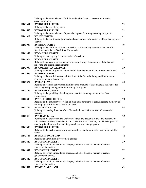|                | Relating to the establishment of minimum levels of water conservation in water                                                                                                       |    |
|----------------|--------------------------------------------------------------------------------------------------------------------------------------------------------------------------------------|----|
|                | conservation plans.<br><b>BY ROBERT PUENTE</b>                                                                                                                                       |    |
| <b>HB 2661</b> |                                                                                                                                                                                      | 52 |
|                | Relating to the use of graywater.                                                                                                                                                    |    |
| HB 2663        | <b>BY ROBERT PUENTE</b>                                                                                                                                                              | 52 |
|                | Relating to the establishment of quantifiable goals for drought contingency plans.                                                                                                   |    |
| <b>HB 2819</b> | <b>BY JOE DRIVER</b>                                                                                                                                                                 | 41 |
|                | Relating to the confidentiality of certain home address information held by a tax appraisal<br>district.                                                                             |    |
| HB 2933        | <b>BY KINO FLORES</b>                                                                                                                                                                | 70 |
|                | Relating to the abolition of the Commission on Human Rights and the transfer of its                                                                                                  |    |
|                | functions to the Texas Workforce Commission.                                                                                                                                         |    |
| HB 2947        | <b>BY CARTER CASTEEL</b>                                                                                                                                                             | 41 |
|                | Relating to state agency decentralization of services.                                                                                                                               |    |
| <b>HB</b> 3024 | <b>BY CARTER CASTEEL</b>                                                                                                                                                             | 41 |
|                | Relating to increasing governmental efficiency through the reduction of duplicative                                                                                                  |    |
|                | reporting and auditing requirements.                                                                                                                                                 |    |
| <b>HB</b> 3030 | <b>BY CORBIN VAN ARSDALE</b>                                                                                                                                                         | 29 |
|                | Relating to notice of groundwater contamination that may affect a drinking water well.                                                                                               |    |
| <b>HB</b> 3042 | <b>BY ROBBY COOK</b>                                                                                                                                                                 | 42 |
|                | Relating to the administration and functions of the Texas Building and Procurement                                                                                                   |    |
|                | Commission and related matters.                                                                                                                                                      |    |
| <b>HB</b> 3074 | <b>BY DAN FLYNN</b>                                                                                                                                                                  | 42 |
|                | Relating to required activities and limits on the amounts of state financial assistance for                                                                                          |    |
| <b>HB</b> 3152 | which regional planning commissions may be eligible.<br><b>BY DENNIS BONNEN</b>                                                                                                      | 75 |
|                | Relating to the potability of and requirements for removing contaminants from                                                                                                        |    |
|                | groundwater.                                                                                                                                                                         |    |
| <b>HB</b> 3208 | <b>BY TALMADGE HEFLIN</b>                                                                                                                                                            | 70 |
|                | Relating to the temporary provision of lump-sum payments to certain retiring members of                                                                                              |    |
|                | the Employees Retirement System of Texas.                                                                                                                                            |    |
| HB 3229        | <b>BY PATRICK ROSE</b>                                                                                                                                                               | 57 |
|                | Relating to electing directors of the Blanco-Pedernales Groundwater Conservation                                                                                                     |    |
|                | District.                                                                                                                                                                            |    |
| <b>HB</b> 3318 | <b>BY VILMA LUNA</b>                                                                                                                                                                 | 29 |
|                | Relating to the creation and re-creation of funds and accounts in the state treasury, the<br>allocation of revenue, the dedication and rededication of revenue, and the exemption of |    |
|                | unappropriated money from use for general governmental purposes.                                                                                                                     |    |
| <b>HB</b> 3338 | <b>BY ROBERT PUENTE</b>                                                                                                                                                              | 52 |
|                | Relating to the performance of a water audit by a retail public utility providing potable                                                                                            |    |
|                | water.                                                                                                                                                                               |    |
| <b>HB</b> 3383 | <b>BY DAVID SWINFORD</b>                                                                                                                                                             | 42 |
|                | Relating to agricultural development districts.                                                                                                                                      |    |
| HB 3442        | <b>BY JOSEPH PICKETT</b>                                                                                                                                                             | 29 |
|                | Relating to certain expenditures, charges, and other financial matters of certain                                                                                                    |    |
|                | governmental entities.                                                                                                                                                               |    |
| HB 3442        | <b>BY JOSEPH PICKETT</b>                                                                                                                                                             | 57 |
|                | Relating to certain expenditures, charges, and other financial matters of certain                                                                                                    |    |
|                | governmental entities.                                                                                                                                                               |    |
| HB 3442        | <b>BY JOSEPH PICKETT</b><br>Relating to certain expenditures, charges, and other financial matters of certain                                                                        | 70 |
|                | governmental entities.                                                                                                                                                               |    |
| HB 3507        | <b>BY KEN MARCHANT</b>                                                                                                                                                               | 42 |
|                |                                                                                                                                                                                      |    |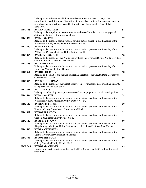|                | Relating to nonsubstantive additions to and corrections in enacted codes, to the<br>nonsubstantive codification or disposition of various laws omitted from enacted codes, and<br>to conforming codifications enacted by the 77th Legislature to other Acts of that<br>legislature. |    |
|----------------|-------------------------------------------------------------------------------------------------------------------------------------------------------------------------------------------------------------------------------------------------------------------------------------|----|
| <b>HB</b> 3508 | <b>BY KEN MARCHANT</b>                                                                                                                                                                                                                                                              | 57 |
|                | Relating to the adoption of a nonsubstantive revision of local laws concerning special                                                                                                                                                                                              |    |
|                | districts, including conforming amendments.                                                                                                                                                                                                                                         |    |
| <b>HB</b> 3559 | <b>BY DAN GATTIS</b>                                                                                                                                                                                                                                                                | 57 |
|                | Relating to the creation, administration, powers, duties, operation, and financing of the                                                                                                                                                                                           |    |
|                | Williamson County Municipal Utility District No. 13.                                                                                                                                                                                                                                |    |
| <b>HB</b> 3560 | <b>BY DAN GATTIS</b>                                                                                                                                                                                                                                                                | 58 |
|                | Relating to the creation, administration, powers, duties, operation, and financing of the                                                                                                                                                                                           |    |
|                | Williamson County Municipal Utility District No. 12.                                                                                                                                                                                                                                |    |
| <b>HB</b> 3563 | BY GLEN HEGAR, JR.<br>Relating to the creation of the Waller County Road Improvement District No. 1; providing                                                                                                                                                                      | 58 |
|                | authority to impose a tax and issue bonds.                                                                                                                                                                                                                                          |    |
| <b>HB</b> 3565 | <b>BY TERRY KEEL</b>                                                                                                                                                                                                                                                                | 58 |
|                | Relating to the creation, administration, powers, duties, operation, and financing of the                                                                                                                                                                                           |    |
|                | Lazy Nine Municipal Utility District.                                                                                                                                                                                                                                               |    |
| HB 3567        | <b>BY ROBERT COOK</b>                                                                                                                                                                                                                                                               | 58 |
|                | Relating to the number and method of electing directors of the Coastal Bend Groundwater                                                                                                                                                                                             |    |
|                | <b>Conservation District.</b>                                                                                                                                                                                                                                                       |    |
| <b>HB</b> 3583 | <b>BY TOBY GOODMAN</b>                                                                                                                                                                                                                                                              | 59 |
|                | Relating to the creation of the Great Southwest Improvement District; providing authority                                                                                                                                                                                           |    |
|                | to impose a tax and issue bonds.                                                                                                                                                                                                                                                    |    |
| HB 3591        | <b>BY JIM PITTS</b>                                                                                                                                                                                                                                                                 | 43 |
|                | Relating to authorizing the strip annexation of certain property by certain municipalities.                                                                                                                                                                                         |    |
| HB 3594        | <b>BY DAN GATTIS</b>                                                                                                                                                                                                                                                                | 59 |
|                | Relating to the creation, administration, powers, duties, operation, and financing of the                                                                                                                                                                                           |    |
|                | Williamson County Municipal Utility District No. 14.                                                                                                                                                                                                                                |    |
| <b>HB</b> 3602 | <b>BY DENNIS BONNEN</b>                                                                                                                                                                                                                                                             | 59 |
|                | Relating to the creation, administration, powers, duties, operation, and financing of the                                                                                                                                                                                           |    |
| HB 3612        | Brazoria County Groundwater Conservation District.<br><b>BY ROBERT COOK</b>                                                                                                                                                                                                         | 59 |
|                | Relating to the creation, administration, powers, duties, operation, and financing of the                                                                                                                                                                                           |    |
|                | Garfield Municipal Utility District No. 1.                                                                                                                                                                                                                                          |    |
| HB 3622        | <b>BY BETTY BROWN</b>                                                                                                                                                                                                                                                               | 60 |
|                | Relating to the creation, administration, powers, duties, operation, and financing of the                                                                                                                                                                                           |    |
|                | Kingsborough Municipal Utility District Nos. 1, 2, 3, 4, and 5 of Kaufman County.                                                                                                                                                                                                   |    |
| HB 3635        | <b>BY BRYAN HUGHES</b>                                                                                                                                                                                                                                                              | 60 |
|                | Relating to the creation, administration, powers, duties, operation, and financing of the                                                                                                                                                                                           |    |
|                | Upshur Groundwater Conservation District.                                                                                                                                                                                                                                           |    |
| <b>HB</b> 3636 | <b>BY ROBERT COOK</b>                                                                                                                                                                                                                                                               | 60 |
|                | Relating to the creation, administration, powers, duties, operation, and financing of the                                                                                                                                                                                           |    |
|                | Colony Municipal Utility District No. 1.                                                                                                                                                                                                                                            |    |
| <b>HCR 204</b> | <b>BY NORMA CHAVEZ</b>                                                                                                                                                                                                                                                              | 43 |
|                | Urging Congress to reinstate funding for the EPA Border Fund to \$75 million for fiscal                                                                                                                                                                                             |    |
|                | year 2004.                                                                                                                                                                                                                                                                          |    |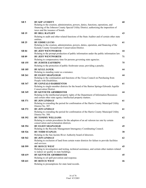| SB <sub>5</sub> | <b>BY KIP AVERITT</b>                                                                                                                                                           | 60 |
|-----------------|---------------------------------------------------------------------------------------------------------------------------------------------------------------------------------|----|
|                 | Relating to the creation, administration, powers, duties, functions, operations, and<br>financing of the Johnson County Special Utility District; authorizing the imposition of |    |
|                 | taxes and the issuance of bonds.                                                                                                                                                |    |
| <b>SB19</b>     | <b>BY BILL RATLIFF</b>                                                                                                                                                          | 43 |
|                 | Relating to audit and other related functions of the State Auditor and of certain other state                                                                                   |    |
|                 | entities.                                                                                                                                                                       |    |
| SB 25           | <b>BY EDDIE LUCIO</b>                                                                                                                                                           | 61 |
|                 | Relating to the creation, administration, powers, duties, operation, and financing of the                                                                                       |    |
|                 | Kenedy County Groundwater Conservation District.                                                                                                                                |    |
| SB 84           | <b>BY JEFF WENTWORTH</b>                                                                                                                                                        | 44 |
|                 | Relating to the prompt production of public information under the public information law.                                                                                       |    |
| SB 89           | <b>BY JEFF WENTWORTH</b>                                                                                                                                                        | 71 |
|                 | Relating to compensatory time for persons governing state agencies.                                                                                                             |    |
| SB 155          | <b>BY JUDITH ZAFFIRINI</b>                                                                                                                                                      | 75 |
|                 | Relating to the protection of public freshwater areas; providing a penalty.                                                                                                     |    |
| SB 185          | <b>BY KYLE JANEK</b>                                                                                                                                                            | 44 |
|                 | Relating to standing water as a nuisance.                                                                                                                                       |    |
| SB 261          | <b>BY ELIOT SHAPLEIGH</b>                                                                                                                                                       | 44 |
|                 | Relating to the continuation and functions of the Texas Council on Purchasing from                                                                                              |    |
|                 | People with Disabilities.                                                                                                                                                       |    |
| SB 347          | <b>BY GONZALO BARRIENTOS</b>                                                                                                                                                    | 61 |
|                 | Relating to single-member districts for the board of the Barton Springs-Edwards Aquifer                                                                                         |    |
|                 | <b>Conservation District.</b>                                                                                                                                                   |    |
| <b>SB 349</b>   | <b>BY KENNETH ARMBRISTER</b>                                                                                                                                                    | 44 |
|                 | Relating to the intellectual property rights of the Department of Information Resources                                                                                         |    |
|                 | and certain other state agency intellectual property matters.                                                                                                                   | 61 |
| SB 371          | <b>BY JON LINDSAY</b><br>Relating to extending the period for confirmation of the Harris County Municipal Utility                                                               |    |
|                 | District No. 387.                                                                                                                                                               |    |
| SB 372          | <b>BY JON LINDSAY</b>                                                                                                                                                           | 61 |
|                 | Relating to extending the period for confirmation of the Harris County Municipal Utility                                                                                        |    |
|                 | District No. 388.                                                                                                                                                               |    |
| <b>SB 392</b>   | <b>BY TOMMY WILLIAMS</b>                                                                                                                                                        | 62 |
|                 | Relating to certain procedures for the adoption of an ad valorem tax rate by certain                                                                                            |    |
|                 | conservation and reclamation districts.                                                                                                                                         |    |
| <b>SB 394</b>   | <b>BY ELIOT SHAPLEIGH</b>                                                                                                                                                       | 45 |
|                 | Relating to the Records Management Interagency Coordinating Council.                                                                                                            |    |
| SB 526          | <b>BY TODD STAPLES</b>                                                                                                                                                          | 30 |
|                 | Relating to the San Jacinto River Authority board of directors.                                                                                                                 |    |
| SB 542          | <b>BY JON LINDSAY</b>                                                                                                                                                           | 62 |
|                 | Relating to exclusion of land from certain water districts for failure to provide facilities                                                                                    |    |
|                 | and services.<br><b>BY ROYCE WEST</b>                                                                                                                                           |    |
| SB 599          | Relating to investigation and testing, technical assistance, and certain other matters related                                                                                  | 45 |
|                 | to indoor air quality in state buildings.                                                                                                                                       |    |
| SB 619          | <b>BY KENNETH ARMBRISTER</b>                                                                                                                                                    | 45 |
|                 | Relating to oil spill prevention and response.                                                                                                                                  |    |
| SB 641          | <b>BY ROYCE WEST</b>                                                                                                                                                            | 46 |
|                 | Relating to presumptions for state land records.                                                                                                                                |    |
|                 |                                                                                                                                                                                 |    |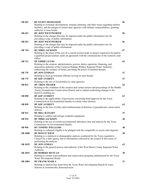| SB 652         | <b>BY ELIOT SHAPLEIGH</b>                                                                                                                                  | 46 |
|----------------|------------------------------------------------------------------------------------------------------------------------------------------------------------|----|
|                | Relating to economic development, strategic planning, and other issues regarding military                                                                  |    |
|                | facilities, and the merger of certain state agencies with military responsibilities; granting                                                              |    |
|                | authority to issue bonds.                                                                                                                                  |    |
| SB 653         | <b>BY JEFF WENTWORTH</b><br>Relating to the charges that may be imposed under the public information law for                                               | 30 |
|                | providing a copy of public information.                                                                                                                    |    |
| SB 653         | <b>BY JEFF WENTWORTH</b>                                                                                                                                   | 46 |
|                | Relating to the charges that may be imposed under the public information law for                                                                           |    |
|                | providing a copy of public information.                                                                                                                    |    |
| <b>SB 710</b>  | <b>BY MIKE JACKSON</b>                                                                                                                                     | 47 |
|                | Relating to the share of the cost of a coastal erosion study or project required to be paid by                                                             |    |
|                | a qualified project partner under an agreement with the commissioner of the General Land                                                                   |    |
|                | Office.                                                                                                                                                    |    |
| <b>SB 721</b>  | <b>BY EDDIE LUCIO</b>                                                                                                                                      | 62 |
|                | Relating to the creation, administration, powers, duties, operation, financing, and                                                                        |    |
|                | annexation authority of the Cameron-Hidalgo-Willacy Regional Water Authority;<br>authorizing the issuance of bonds; providing the power of eminent domain. |    |
| SB 735         | <b>BY JON LINDSAY</b>                                                                                                                                      | 47 |
|                | Relating to local government officials serving on state boards.                                                                                            |    |
| SB 775         | <b>BY KIP AVERITT</b>                                                                                                                                      | 47 |
|                | Relating to the use of TexasOnline by state agencies.                                                                                                      |    |
| <b>SB 822</b>  | <b>BY TROY FRASER</b>                                                                                                                                      | 62 |
|                | Relating to the validation of the creation and certain actions and proceedings of the Middle                                                               |    |
|                | Trinity Groundwater Conservation District and to related conforming changes to the                                                                         |    |
|                | district's enabling act.                                                                                                                                   |    |
| <b>SB 898</b>  | <b>BY KIP AVERITT</b>                                                                                                                                      | 63 |
|                | Relating to the applicability of provisions concerning bond approval by the Texas                                                                          |    |
|                | Commission on Environmental Quality to certain water districts.                                                                                            |    |
| SB 899         | <b>BY KIP AVERITT</b><br>Relating to the fees of office and reimbursement of directors of groundwater conservation                                         | 63 |
|                | districts.                                                                                                                                                 |    |
| <b>SB 912</b>  | <b>BY BILL RATLIFF</b>                                                                                                                                     | 47 |
|                | Relating to surplus and salvage computer equipment.                                                                                                        |    |
| SB 934         | <b>BY MIKE JACKSON</b>                                                                                                                                     | 48 |
|                | Relating to the use of certain environmental laboratory data and analysis by the Texas                                                                     |    |
|                | Commission on Environmental Quality.                                                                                                                       |    |
| SB 996         | <b>BY TOMMY WILLIAMS</b>                                                                                                                                   | 48 |
|                | Relating to collateral eligible to be pledged with the comptroller to secure state deposits.                                                               |    |
| <b>SB 1000</b> | <b>BY ROYCE WEST</b>                                                                                                                                       | 48 |
|                | Relating to a statistical or demographic analysis conducted by the Texas Legislative                                                                       |    |
|                | Council for a state agency and to information collected by the council in the course of<br>performing the analysis.                                        |    |
| <b>SB 1035</b> | <b>BY JON LINDAY</b>                                                                                                                                       | 63 |
|                | Relating to the general powers and authority of the West Harris County Regional Water                                                                      |    |
|                | Authority.                                                                                                                                                 |    |
| SB 1053        | <b>BY ROBERT DUNCAN</b>                                                                                                                                    | 30 |
|                | Relating to certain water pollution and conservation programs administered by the Texas                                                                    |    |
|                | Water Development Board.                                                                                                                                   |    |
| SB 1084        | <b>BY FRANK MADLA</b>                                                                                                                                      | 31 |
|                | Relating to interest-free loans from the Texas Water Development Board for water                                                                           |    |
|                | districts in economically distressed areas.                                                                                                                |    |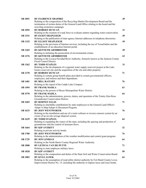| <b>SB 1091</b> | <b>BY FLORENCE SHAPIRO</b>                                                                                           | 49 |
|----------------|----------------------------------------------------------------------------------------------------------------------|----|
|                | Relating to the composition of the Recycling Market Development Board and the                                        |    |
|                | termination of certain duties of the General Land Office relating to the board and the                               |    |
| <b>SB 1094</b> | recycling awareness campaign.<br><b>BY ROBERT DUNCAN</b>                                                             | 31 |
|                | Relating to the creation of a task force to evaluate matters regarding water conservation.                           |    |
| <b>SB 1151</b> | <b>BY ELIOT SHAPLEIGH</b>                                                                                            | 49 |
|                | Relating to the publication of state agency Internet addresses in telephone directories.                             |    |
| <b>SB 1152</b> | <b>BY ELLIOT SHAPLEIGH</b>                                                                                           | 49 |
|                | Relating to the provision of Internet services, including the use of TexasOnline and the                             |    |
|                | establishment of an education Internet portal.                                                                       |    |
| <b>SB 1265</b> | <b>BY KENNETH ARMBRISTER</b>                                                                                         | 49 |
|                | Relating to initiating the prosecution of environmental crimes.                                                      |    |
| <b>SB 1276</b> | <b>BY KENNETH ARMBRISTER</b><br>Relating to the Lavaca-Navidad River Authority, formerly known as the Jackson County | 63 |
|                | Flood Control District.                                                                                              |    |
| <b>SB 1362</b> | <b>BY TODD STAPLES</b>                                                                                               | 31 |
|                | Relating to the development of a regional water supply reservoir project at the Lake                                 |    |
|                | Eastex reservoir site and the acquisition of the site and other property.                                            |    |
| <b>SB 1370</b> | <b>BY ROBERT DUNCAN</b>                                                                                              | 71 |
|                | Relating to certain group benefit plans provided to certain governmental officers,                                   |    |
|                | employees, and retirees and their dependents.                                                                        |    |
| <b>SB 1481</b> | <b>BY BILL RATLIFF</b><br>Relating to the repeal of the Caddo Lake Compact.                                          | 76 |
| <b>SB 1494</b> | <b>BY FRANK MADLA</b>                                                                                                | 63 |
|                | Relating to the powers of Bexar Metropolitan Water District.                                                         |    |
| <b>SB 1570</b> | <b>BY FRANK MADLA</b>                                                                                                | 64 |
|                | Relating to the administration, powers, duties, and operation of the Trinity Glen Rose                               |    |
|                | Groundwater Conservation District.                                                                                   |    |
| <b>SB 1603</b> | <b>BY RODNEY ELLIS</b>                                                                                               | 71 |
|                | Relating to charitable contributions by state employees to the General Land Office's                                 |    |
| <b>SB 1633</b> | Adopt-A-Map/Adopt-A-Document Program.<br><b>BY JEFF WENTWORTH</b>                                                    | 76 |
|                | Relating to the installation and use of a water softener or reverse osmosis system by an                             |    |
|                | owner of an on-site sewage disposal system.                                                                          |    |
| <b>SB 1639</b> | <b>BY TODD STAPLES</b>                                                                                               | 64 |
|                | Relating to regulating the waters of the state, including the spacing and production of                              |    |
|                | groundwater and the control of instream flows.                                                                       |    |
| <b>SB 1664</b> | <b>BY KIP AVERITT</b>                                                                                                | 32 |
|                | Relating to private activity bonds.                                                                                  |    |
| <b>SB 1700</b> | <b>BY JEFF WENTWORTH</b><br>Relating to the administration of the weather modification and control grant program.    | 76 |
| <b>SB 1725</b> | <b>BY JON LINDSAY</b>                                                                                                | 64 |
|                | Relating to the North Harris County Regional Water Authority.                                                        |    |
| <b>SB 1800</b> | <b>BY LETICIA VAN DE PUTTE</b>                                                                                       | 71 |
|                | Relating to state employee military leave.                                                                           |    |
| <b>SB 1828</b> | <b>BY KIP AVERITT</b>                                                                                                | 50 |
|                | Relating to the composition and duties of the State Soil and Water Conservation Board.                               |    |
| <b>SB 1883</b> | <b>BY KYLE JANEK</b>                                                                                                 | 64 |
|                | Relating to the assumption of road utility district authority by Fort Bend County Levee                              |    |
|                | Improvement District No. 15, including the authority to impose taxes and issue bonds.                                |    |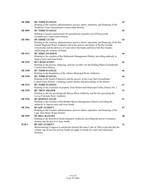| <b>SB 1888</b>   | <b>BY TODD STAPLES</b>                                                                                                                                                                                                                                                                                   | 65 |
|------------------|----------------------------------------------------------------------------------------------------------------------------------------------------------------------------------------------------------------------------------------------------------------------------------------------------------|----|
|                  | Relating to the creation, administration, powers, duties, operation, and financing of the<br>Southeast Texas Groundwater Conservation District.                                                                                                                                                          |    |
| <b>SB 1899</b>   | <b>BY TODD STAPLES</b>                                                                                                                                                                                                                                                                                   | 65 |
|                  | Relating to permit requirements for groundwater transfers out of Pineywoods                                                                                                                                                                                                                              |    |
|                  | Groundwater Conservation District.                                                                                                                                                                                                                                                                       |    |
| <b>SB 1902</b>   | <b>BY EDDIE LUCIO</b>                                                                                                                                                                                                                                                                                    | 65 |
|                  | Relating to the creation, administration, powers, duties, operation, and financing of the Rio<br>Grande Regional Water Authority and to the powers and duties of the Rio Grande<br>watermaster and the delivery of water down the banks and bed of the Rio Grande;<br>authorizing the issuance of bonds. |    |
| <b>SB 1912</b>   | <b>BY MIKE JACKSON</b>                                                                                                                                                                                                                                                                                   | 66 |
|                  | Relating to the creation of the Harborside Management District; providing authority to                                                                                                                                                                                                                   |    |
|                  | impose taxes and issue bonds.                                                                                                                                                                                                                                                                            |    |
| <b>SB 1925</b>   | <b>BY CRAIG ESTES</b>                                                                                                                                                                                                                                                                                    | 66 |
|                  | Relating to the powers, financing, and fees of office for the Rolling Plains Groundwater                                                                                                                                                                                                                 |    |
|                  | Conservation District.                                                                                                                                                                                                                                                                                   |    |
| <b>SB 1928</b>   | <b>BY TODD STAPLES</b>                                                                                                                                                                                                                                                                                   | 66 |
|                  | Relating to the boundaries of the Athens Municipal Water Authority.                                                                                                                                                                                                                                      |    |
| <b>SB 1930</b>   | <b>BY TODD STAPLES</b>                                                                                                                                                                                                                                                                                   | 66 |
|                  | Relating to the board of directors and the powers of the Lone Star Groundwater<br>Conservation District; validating certain actions and proceedings of the district.                                                                                                                                     |    |
| <b>SB 1933</b>   | <b>BY TODD STAPLES</b>                                                                                                                                                                                                                                                                                   | 67 |
|                  | Relating to the exclusion of property from Waterwood Municipal Utility District No. 1.                                                                                                                                                                                                                   |    |
| <b>SB 1935</b>   | <b>BY TROY FRASER</b>                                                                                                                                                                                                                                                                                    | 67 |
|                  | Relating to the law governing the Brazos River Authority and the law governing the<br>Lower Colorado River Authority.                                                                                                                                                                                    |    |
| SB 1936          | <b>BY RODNEY ELLIS</b>                                                                                                                                                                                                                                                                                   | 67 |
|                  | Relating to the creation of the Buffalo Bayou Management District; providing the<br>authority to impose taxes and issue bonds.                                                                                                                                                                           |    |
| <b>SB 1941</b>   | <b>BY KIP AVERITT</b>                                                                                                                                                                                                                                                                                    | 67 |
|                  | Relating to the creation, administration, powers, duties, operation, and financing of the                                                                                                                                                                                                                |    |
|                  | Lake Alan Henry Water District.                                                                                                                                                                                                                                                                          |    |
| <b>SB 1955</b>   | <b>BY BILL RATLIFF</b>                                                                                                                                                                                                                                                                                   | 68 |
|                  | Relating to the Red River Redevelopment Authority; providing the power of eminent                                                                                                                                                                                                                        |    |
|                  | domain and the power to issue bonds.                                                                                                                                                                                                                                                                     |    |
| SCR <sub>6</sub> | <b>BY KIP AVERITT</b>                                                                                                                                                                                                                                                                                    | 32 |
|                  | Memorializing Congress to amend the Internal Revenue Code of 1986 to provide that the<br>volume cap for private activity bonds not apply to bonds for water and wastewater<br>facilities.                                                                                                                |    |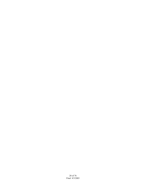20 of 76 Final 8/5/2003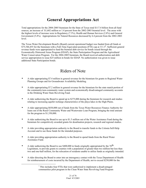### **General Appropriations Act**

Total appropriations for the 2004-2005 biennium for the State of Texas total \$117.4 billion from all fund sources, an increase of \$1,602 million or 1.4 percent from the 2002-2003 biennial level. The areas with the highest levels of increase were in Regulatory (7.3%), Health and Human Services (2.8%) and General Government (5.4%). Appropriations for Natural Resources decreased by 6.4 percent from the 2002-2003 level.

The Texas Water Development Board's (Board) current operational budget was funded from all funds at \$75,546,455 for the biennium with a Full-Time Equivalent positions (FTE) cap at 311.5**<sup>1</sup>** . Sufficient general revenue funds were appropriated to fund the biennial debt service for bonds issued through the Economically Distressed Areas Program (EDAP), the State Participation Program and the Agricultural Water Conservation Program. For the 2004-2005 biennium, the Board received authorization and debt service appropriation to issue \$25 million in bonds for EDAP. No authorization was given to issue additional State Participation bonds.

### Riders of Note

- A rider appropriating \$7.4 million in general revenue for the biennium for grants to Regional Water Planning Groups and for Groundwater Availability Modeling.
- A rider appropriating \$7.2 million in general revenue for the biennium for the state match portion of the community/non-community water system and economically disadvantaged community accounts in the Drinking Water State Revolving Fund.
- A rider authorizing the Board to spend up to \$275,000 during the biennium for research and studies relating to increasing aquifer recharge characteristics of the playa lakes in the High Plains.
- A rider appropriating \$830,000 out of funds from the Texas Water Resources Finance Authority for loans out of the Rural Community Water and Wastewater Loan Program, bringing the total amount for the program to \$1,350,000.
- A rider authorizing the Board to use up to \$1.5 million out of the Water Assistance Fund during the biennium for competitively awarded grants for desalination projects, research and regional studies.
- A rider providing appropriation authority to the Board to transfer funds to the Colonia Self-Help Account and to use those funds for the intended purposes.
- A rider providing appropriation authority to the Board to spend funds from the Rural Water Assistance Fund.
- A rider authorizing the Board to use \$400,000 in funds originally appropriated by the  $76<sup>th</sup>$ Legislature, to provide grants to counties with a population of greater than two million but less than two and one-half million, for the relocation of residents unable to utilize funds as originally intended.
- A rider directing the Board to enter into an interagency contact with the Texas Department of Health for reimbursement of costs incurred by the Department of Health, not to exceed \$250,000 for the

**<sup>1</sup>** <sup>1</sup> This includes four FTEs that were authorized to implement a disadvantaged communities pilot program in the Clean Water State Revolving Fund Program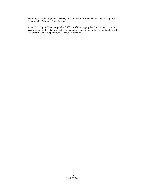biennium, in conducting nuisance surveys for applicants for financial assistance through the Economically Distressed Areas Program.

• A rider directing the Board to spend \$15,450 out of funds appropriated, to conduct research, feasibility and facility planning studies, investigations and surveys to further the development of cost-effective water supplies from seawater desalination.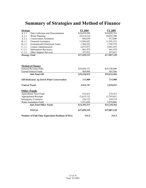| <b>Strategy</b>                                        | <b>FY 2004</b> | <b>FY 2005</b> |
|--------------------------------------------------------|----------------|----------------|
| A.1.1.<br>Data Collection and Dissemination            | \$10,019,599   | \$10,058,723   |
| Water Planning<br>A.1.2.                               | 10,314,516     | 10,076,700     |
| <b>Conservation Assistance</b><br>$A.2.1$ .            | 606,830        | 613,840        |
| B.1.1.<br><b>Financial Assistance</b>                  | 11,056,691     | 11,291,531     |
| B.1.2.<br><b>Economically Distressed Areas</b>         | 1,566,293      | 1,745,578      |
| Central Administration<br>C.1.1.                       | 2,675,975      | 2,681,455      |
| C.1.2.<br><b>Information Resources</b>                 | 861,478        | 861,478        |
| C.1.3.<br><b>Other Support Services</b>                | 557,953        | 557,815        |
| <b>Strategy Total</b>                                  | \$37,659,335   | \$37,887,120   |
|                                                        |                |                |
| <b>Method of Finance</b>                               |                |                |
| General Revenue (GR)                                   | \$18,956,131   | \$19,148,898   |
| <b>Earned Federal Funds</b>                            | 469,904        | 465,586        |
| <b>Sub-Total GR</b>                                    | \$19,426,035   | \$19,614,484   |
| <b>GR-Dedicated, Ag Soil &amp; Water Conservation</b>  | 115,000        | 115,000        |
| <b>Federal Funds</b>                                   | 3,814,787      | 3,819,052      |
| <b>Other Funds</b>                                     |                |                |
| <b>Agricultural Trust Fund</b>                         | 232,413        | 232,413        |
| <b>Appropriated Receipts</b>                           | 12,615,122     | 11,793,051     |
| <b>Interagency Contracts</b>                           | 224,122        | 234,314        |
| Water Assistance Fund                                  | 1,231,856      | 2,078,806      |
| <b>Sub-Total Other Funds</b>                           | \$14,303,513   | \$14,338,584   |
| <b>TOTAL</b>                                           | \$37,659,335   | \$37,887,120   |
| <b>Number of Full-Time Equivalent Positions (FTEs)</b> | 311.5          | 311.5          |

# **Summary of Strategies and Method of Finance**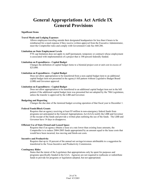## **General Appropriations Act Article IX General Provisions**

#### **Significant Items**

#### **Travel Meals and Lodging Expenses**

Allows employees traveling outside their designated headquarters for less than 6 hours to be reimbursed for a meal expense if they receive written approval from the Executive Administrator, meet the Comptroller rules and comply with Government Code Sec 660.206.

#### **Limitation on State Employment Levels**

FTE cap limitation does not apply to staff (permanent, temporary or contract) whose employment is associated with implementation of a project that is 100 percent federally funded.

#### **Limitation on Expenditures - Capital Budget**

Changes the definition of capital budget items to a biennial project cost or unit cost in excess of \$25,000.

#### **Limitation on Expenditures - Capital Budget**

Does not allow appropriation to be transferred from a non-capital budget item to an additional capital budget item not presented in the agency's bill pattern without Legislative Budget Board (LBB) and Governor approval.

#### **Limitation on Expenditures - Capital Budget**

Does not allow appropriation to be transferred to an additional capital budget item not in the bill pattern if the additional capital budget item was presented but not adopted by the 78th Legislature, unless the transfer is approved by the LBB and Governor.

#### **Budgeting and Reporting**

Changes the due date of the itemized budget covering operation of that fiscal year to December 1.

#### **Federal Funds/Block Grants**

Requires that an agency receiving at least \$5 million in non-emergency federal funds from programs not anticipated in the General Appropriations Act (GAA) notify the LBB and Governor of the receipt of the funds and provide a written plan outlining the use of the funds. The LBB and Governor have 14 days to disapprove.

#### **Efficient Use of State Owned and Leased Space**

Requires that if an agency obtains a lease at a rate lower than existing lease amounts, the Comptroller is to reduce 2004-2005 funds appropriated by an amount equal to the lease costs that would have been incurred, less moving and finish-out costs.

#### **Incentive and Productivity**

Requires that up to 10 percent of the annual net savings/revenues attributable to a suggestion be transferred to the Texas Incentive and Productivity Commission.

#### **Contingency Rider**

States that the intent of the Legislature that appropriations only be spent for purposes and programs specifically funded in the GAA. Agencies are not required to reallocate or redistribute funds to provide for programs or legislation adopted, but not appropriated.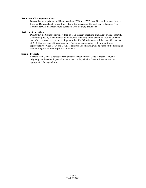#### **Reduction of Management Costs**

Directs that appropriations will be reduced for FY04 and FY05 from General Revenue, General Revenue-Dedicated and Federal Funds due to the management to staff ratio reductions. The Comptroller will make reductions consistent with statutory provisions.

#### **Retirement Incentives**

Directs that the Comptroller will reduce up to 35 percent of retiring employee's average monthly salary multiplied by the number of whole months remaining in the biennium after the effective date of the employee's retirement. Stipulates that 8/31/03 retirements will have an effective date of 9/1/03 for purposes of this subsection. The 35 percent reduction will be apportioned appropriately between FY04 and FY05. The method of financing will be based on the funding of salary during the 24 months prior to retirement.

#### **Surplus Property**

Receipts from sale of surplus property pursuant to Government Code, Chapter 2175, and originally purchased with general revenue shall be deposited in General Revenue and not appropriated for expenditure.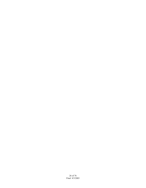26 of 76 Final 8/5/2003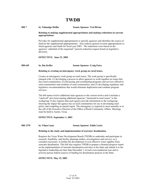### **TWDB**

#### **HB 7 by Talmadge Heflin Senate Sponsor: Teel Bivins**

#### **Relating to making supplemental appropriations and making reductions in current appropriations**

Provides for supplemental appropriations to specific agencies and identifies the source of fund for the supplemental appropriations. Also reduces general revenue appropriations to listed agencies and funds for fiscal year 2003. The reductions were based on the agencies' submittal of the requested 7 percent reduction request based on legislative direction.

**EFFECTIVE: June 23, 2003** 

#### **HB 649 by Jim Keffer Senate Sponsor: Craig Estes**

#### **Relating to creating an interagency work group on rural issues.**

Creates an interagency work group on rural issues. The work group is specifically charged with: (1) developing a process to allow agencies to work together on issues that face rural communities; (2) discussing and coordinating programs and services offered to rural communities and residents of rural communities; and (3) developing regulatory and legislative recommendations that would eliminate duplication and combine program services.

The bill names twelve additional state agencies to the current twelve and it includes a "catch-all" provision naming additional agencies "interested in rural issues" to the workgroup. It also requires that each agency provide information to the workgroup showing the impact the agency has on rural communities for use in developing rural policy and compiling an annual report. The interagency is required to meet annually or at the call of the Executive Director of the Office of Rural Community Affairs. Meetings must be held in Austin, Texas.

**EFFECTIVE: September 1, 2003** 

#### **HB 1370 by Vilma Luna Senate Sponsor: Eddie Lucio**

#### **Relating to the study and implementation of seawater desalination.**

Requires the Texas Water Development Board (TWDB) to undertake and participate in research, feasibility, and facility planning studies, investigations and surveys, as it considers necessary, to further the development of cost-effective water supplies from seawater desalination. This bill also requires TWDB to prepare a biennial progress report on the implementation of seawater desalination activities in the State and submit it to the legislative leadership not later than December 1 of each even-numbered year and to actively pursue federal sources of funding for desalination projects in the State.

#### **EFFECTIVE: May 15, 2003**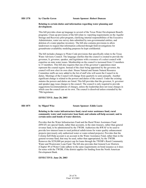#### **HB 1378 by Charlie Geren Senate Sponsor: Robert Duncan**

#### **Relating to certain duties and information regarding water planning and development.**

This bill provides clean up language to several of the Texas Water Development Board's programs. Clean up provisions of the bill relate to: reporting requirements on the Aquifer Storage and Recovery pilot program, clarifying internal responsibilities of the Executive Administrator, water use survey data submitted by non-governmental entities, and deletion of a water pipeline inventory. The bill also contains provisions to allow landowners to request that information collected through field investigations for groundwater availability modeling purposes be kept confidential.

The bill includes changes to Water Code provisions that specifically relate to the Texas Water Advisory Council. The language clarifies that the council is created to provide the governor, lt. governor, speaker, and legislature with a resource of a select council with expertise on state water issues. Membership on the council is increased from 13 members to 15 members. This bill also requires that one of the governor's appointees must represent the coastal region. Instead of the chair being appointed by the governor, the council will now elect its own chair. House Natural and Senate Natural Resource Committee staffs are now added to the list of staff who will assist the Council in its duties. Meetings of the Council will change from quarterly to semi-annually. Another significant change is related to the powers and duties of the council. Under the existing statutes the powers and duties are listed. This bill provides that the governor, lt. governor and speaker may issue charges to the council. The council is only required to provide suggestions/recommendations of charges, unless the leadership does not issue charges in which case the council can set its own. The council is dissolved unless extended by the 79th legislature.

#### **EFFECTIVE: June 20, 2003**

**HB 1875 by Miguel Wise Senate Sponsor: Eddie Lucio** 

#### **Relating to the water infrastructure fund, rural water assistance fund, rural community water and wastewater loan fund, and colonia self-help account; and to certain notes and bonds of water districts.**

Provides that the Water Infrastructure Fund and the Rural Water Assistance Fund (RWAF) are special funds, rather than accounts, in the state treasury, rather than general revenue fund, to be administered by the TWDB. Authorizes the RWAF to be used to provide low-interest loans to rural political subdivisions for water quality enhancement projects (previously only authorized water or water-related projects). Provides that the Colonia Self-Help account is an account in the Water Assistance Fund, rather than in the general revenue fund, that may be used, rather than appropriated, by the TWDB. Removes the \$250,000 per project cap for loans through the TWDB's Rural Community Water and Wastewater Loan Fund. The bill also provides that General Law Districts (Chapter 49 of Water Code) adhere to the same requirements on bond issuance as it does for notes with the TWDB, if the district applies for funding from the North American Development Bank.

#### **EFFECTIVE: June 20, 2003**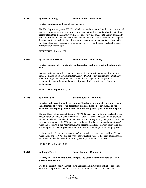#### **HB 2485 by Scott Hochberg Senate Sponsor: Bill Ratliff**

#### **Relating to internal auditing of state agencies.**

The 77th Legislature passed HB 609, which extended the internal audit requirement to all state agencies that receive an appropriation. Conducting these audits when the situation necessitates rather than annually will more judiciously use small state agency funds. HB 2485 requires small agencies to complete an annual written risk assessment, and requires the state auditor to evaluate the risk assessments and recommend audits for those with significant financial, managerial or compliance risk, or significant risk related to the use of information technology.

#### **EFFECTIVE: June 18, 2003**

#### **HB 3030 by Corbin Van Arsdale Senate Sponsor: Jon Lindsay**

#### **Relating to notice of groundwater contamination that may affect a drinking water well.**

Requires a state agency that documents a case of groundwater contamination to notify Texas Commission on Environmental Quality (TCEQ) of any contamination that may affect drinking water. Requires the TCEQ within 30 days of knowing about a contamination to notify by mail owners of private drinking water wells that may be contaminated.

#### **EFFECTIVE: September 1, 2003**

#### **HB 3318 by Vilma Luna Senate Sponsor: Teel Bivins**

**Relating to the creation and re-creation of funds and accounts in the state treasury, the allocation of revenue, the dedication and rededication of revenue, and the exemption of unappropriated money from use for general governmental purposes.** 

The 72nd Legislature enacted Section 403.094, Government Code, which related to the consolidation of funds in existence before August 31, 1993. That section also provided for the abolishment of dedications in existence prior to August 31, 1995, unless otherwise expressly exempted. H.B. 3318 provides regulations for the creation and recreation of funds and accounts in the state treasury, the dedication and rededication of revenue, and the exemption of unappropriated money from use for general governmental purposes.

Section 15 titled "Rural Water Assistance" specifically exempts both the Rural Water Assistance Fund (RWAF) and the Water Infrastructure Fund (WIF) from consolidation and use of monies deposited in them for general governmental purposes.

#### **EFFECTIVE: June 21, 2003**

#### **HB 3442 by Joseph Pickett Senate Sponsor: Kip Averitt**

#### **Relating to certain expenditures, charges, and other financial matters of certain governmental entities.**

Due to the current budget shortfall, state agencies and institutions of higher education were asked to prioritize spending based on core functions and essential services.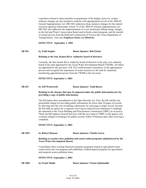Legislators looked to these priorities in preparation of the budget; however, certain statutory changes are also needed to conform with appropriations levels in the 2004-05 General Appropriations Act. HB 3442 authorizes these statutory changes for the natural resources agencies listed under Article VI of the 2004-05 General Appropriations Act. HB 3442 also addresses the implementation of a new freshwater fishing stamp, changes in the Soil and Water Conservation Board and its brush control program, and the transfer of certain powers from the Railroad Commission of Texas to the Texas Department of Transportation. (See also **Employee Issues** and **Districts**)

**EFFECTIVE: September 1, 2003** 

#### **SB 526 by Todd Staples House Sponsor: Rob Eissler**

#### **Relating to the San Jacinto River Authority board of directors.**

Currently, the San Jacinto River Authority board of directors is the only river authority board in the state appointed by the Texas Water Development Board (TWDB). All others are appointed by the governor. S.B. 526 would promote consistency in the appointment process and recognize the importance of water resources to the state by statutorily transferring appointment power from the TWDB to the Governor.

**EFFECTIVE: September 1, 2003** 

#### **SB 653 by Jeff Wentworth House Sponsor: Todd Baxter**

**Relating to the charges that may be imposed under the public information law for providing a copy of public information.** 

The bill makes three amendments to the Open Records Act. First, the bill clarifies the permissible charge for providing public information for fewer than 50 pages of records by allowing only the cost of making a photocopy for each page or paper record. Second, the bill adds an option for a requestor receiving an itemized cost statement to challenge the statement to the Texas Building and Procurement Commission (TBPC) as excessive. Third, the bill replaces General Services with the new name of TBPC as the agency who evaluates alleged overcharges for public records within 10 business days after receiving a complaint.

**EFFECTIVE: September 1, 2003** 

#### **SB 1053 by Robert Duncan House Sponsor: Charlie Geren**

**Relating to certain water pollution and conservation programs administered by the** 

**Texas Water Development Board.** 

Consolidates three existing financial assistance programs related to agricultural water conservation into one program and establishes a linked-deposit program for agricultural and nonpoint source pollution loans.

**EFFECTIVE: September 1, 2003** 

**SB 1084 by Frank Madla House Sponsor: Chente Quintanilla**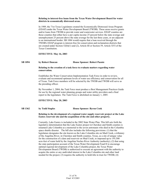#### **Relating to interest-free loans from the Texas Water Development Board for water districts in economically distressed areas.**

In 1989, the 71st Texas Legislature created the Economically Distressed Areas Program (EDAP) under the Texas Water Development Board (TWDB). These areas receive grants and/or loans from TWDB to provide water and wastewater services. EDAP counties are those counties that either have a per capita income 25 percent below the state average and unemployment 25 percent above the state average for the last three years, or are adjacent to an international border. SB 1084 would require that a loan received through the TWDB's EDAP program is interest-free for conservation and reclamation districts that are created under Section 52(b)(1) and (2), Article III or Section 59, Article XVI of the Texas Constitution.

#### **EFFECTIVE: May 16, 2003**

#### **SB 1094 by Robert Duncan House Sponsor: Robert Puente**

**Relating to the creation of a task force to evaluate matters regarding water conservation.** 

Establishes the Water Conservation Implementation Task Force in order to review, evaluate and recommend optimum levels of water use efficiency and conservation for all of Texas. Task Force members will be selected by the TWDB and TWDB will serve as the presiding officer.

By November 1, 2004, the Task Force must produce a Best Management Practices Guide for use by the regional water planning groups and water utility providers and a final report to the legislature. The Task Force is abolished on January 1, 2005.

#### **EFFECTIVE: May 20, 2003**

#### **SB 1362 by Todd Staples House Sponsor: Byron Cook**

**Relating to the development of a regional water supply reservoir project at the Lake Eastex reservoir site and the acquisition of the site and other property.** 

Currently, Lake Eastex is included in the 2002 State Water Plan. This bill sets forth the legislative determination that the Lake Eastex project in Cherokee and Smith counties is renamed Lake Columbia as a memorial to the seven astronauts who died in the Columbia space shuttle disaster. The bill also includes the following provisions: (1) that the legislature designates the site known as the Lake Columbia site on Mud Creek, a tributary of the Angelina River, in Cherokee and Smith counties, Texas, as a site of unique value for the construction of a dam and reservoir on Mud Creek, to impound up to 195,500 acre-feet of water held by the Angelina Neches River Authority (authority); (2) that using the state participation account of the Texas Water Development Fund II to encourage optimal regional development of the Lake Columbia project, the Texas Water Development Board (TWDB) is authorized to execute an agreement with the authority to acquire the entire or any undivided interest in the Lake Columbia site and other land needed for the project; (3) requires the authority to hold title in trust for TWDB; (4)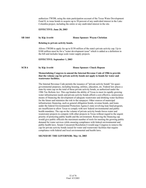authorizes TWDB, using the state participation account of the Texas Water Development Fund II, to issue bonds to acquire up to 50 percent of any undivided interest in the Lake Columbia project, including the entire or any undivided interest in the site.

#### **EFFECTIVE: June 20, 2003**

#### **SB 1664 by Kip Averitt House Sponsor: Wayne Christian**

**Relating to private activity bonds.** 

Allows TWDB to apply for up to \$150 million of the state's private activity cap. Up to \$100 million must be for a "water development issue" which is added as a definition in the bill and includes large scale water supply projects.

**EFFECTIVE: September 1, 2003** 

**SCR 6** by Kip Averitt **House Sponsor: Chuck Hopson** 

**Memorializing Congress to amend the Internal Revenue Code of 1986 to provide that the volume cap for private activity bonds not apply to bonds for water and wastewater facilities.**

The Internal Revenue Code permits the issuance of "private activity bonds" for quasigovernmental purposes, including housing, utilities, education, etc. Federal law places a state-by-state cap on the total of these private activity bonds, as authorized under the 1986 Tax Reform Act. This cap hinders the ability of Texas to meet its rapidly growing water infrastructure needs and private activity bonds afford a cost-effective, nonrecourse means of financing the development of adequate wastewater and drinking water facilities for the future and minimize the risk to the ratepayer. Other sources of municipal infrastructure financing, such as general obligation bonds, revenue bonds, and loans under the federal Environmental Protection Agency's state revolving loan fund program, are insufficient to allow Texas to comply with new federal environmental and public health mandates. The cap on the volume of private activity bonds forces water and wastewater projects to compete with other projects in Texas without regard to the urgent priority of protecting public health and the environment. Removing the financing cap would give public officials the maximum number of tools for meeting the growing public demand for water services while ensuring compliance with federal environmental and public health laws. Senate Concurrent Resolution 6 would urge Congress to remove the cap for private activity bonds issued for water and wastewater facilities that require compliance with federal and local environmental and health laws.

#### **SIGNED BY THE GOVERNOR: May 14, 2003**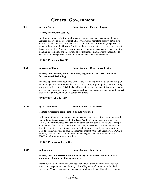## **General Government**

## **HB 9 by Kino Flores Senate Sponsor: Florence Shapiro Relating to homeland security.**  Creates the Critical Infrastructure Protection Council (council), made up of 13 state agencies, to serve as the operational advisory group for homeland security at the state level and as the center of coordinated and efficient flow of information, response, and recovery throughout the Governor's office and the various state agencies. Also creates the Texas Infrastructure Protection Communications Center to serve as the primary point of planning, coordination and integration of government communications capabilities to ensure effective response in the event of a homeland security emergency. **EFFECTIVE: June 22, 2003 HB 43 by Warren Chisum Senate Sponsor: Kenneth Armbrister Relating to the funding of and the making of grants by the Texas Council on Environmental Technology.**  Requires a person on the council to disclose the fact of employment by or ownership of an applying entity and prohibits that person from voting or participating in the awarding of a grant for that entity. This bill also adds certain actions the council is required to take to assist in developing solutions for certain problems and authorizes the council to collect a fee from a grant recipient under certain conditions. **EFFECTIVE: May 14, 2003 HB 145 by Burt Solomons Senate Sponsor: Troy Fraser Relating to workers' compensation dispute resolution.**  Under current law, a claimant may sue an insurance carrier to enforce compliance with a final order or decision rendered by the Texas Workers' Compensation Commission (TWCC). Current law also provides for an administrative penalty for failure to comply with an order from TWCC. These provisions may not be effective due to delays and litigation costs the claimant incurs and the lack of enforcement by the court system. Despite being authorized to issue interlocutory orders by the 76th Legislature, TWCC's authority may have been limited due to the language of the law. H.B. 145 clarifies TWCC's authority to enforce its orders. **EFFECTIVE: September 1, 2003 HB 543 by Jesse Jones Senate Sponsor: Jon Lindsay**

**Relating to certain restrictions on the delivery or installation of a new or used manufactured home in a flood-prone area.** 

Prohibits, unless in compliance with applicable laws, a manufactured home retailer, broker, or salesperson from delivering or installing a manufactured home in a Federal Emergency Management Agency designated flood hazard area. This bill also requires a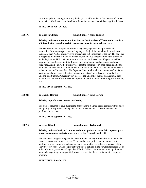consumer, prior to closing on the acquisition, to provide evidence that the manufactured home will not be located in a flood hazard area in a manner that violates applicable laws.

#### **EFFECTIVE: June 20, 2003**

#### **HB 599 by Warren Chisum Senate Sponsor: Mike Jackson**

#### **Relating to the continuation and functions of the State Bar of Texas and to conflicts of interest with respect to certain persons engaged in the practice of law.**

The State Bar of Texas operates as both a regulatory agency and a professional association. It is a quasi-governmental agency of the judicial branch with jurisdiction over more than 70,000 attorneys who are required to be members of the bar. The state bar is subject to the Sunset Act and will be abolished in 2003 unless continued in existence by the legislature. H.B. 599 continues the state bar for the standard 12-year period but requires increased accountability through strategic planning and performance-based budgeting. Additionally, the Bill provides that the supreme court shall set an additional civil legal services fee in an amount that is not less than \$65 to be paid annually by each active member of the state bar. The Supreme Court shall review the amount of the fee at least biennially and may, subject to the requirements of this subsection, modify the amount. The Supreme Court may not increase the amount of the fee to an amount that exceeds 120 percent of the lowest fee imposed under this subsection during the preceding year.

#### **EFFECTIVE: September 1, 2003**

### **HB 845 by Charlie Howard Senate Sponsor: John Carona**

#### **Relating to preferences in state purchasing.**

The state is required to give purchasing preference to a Texas-based company if the price and quality of its products are equal to an out-of-state bidder. This bill extends the preference to services.

**EFFECTIVE: September 1, 2003** 

#### **HB 917 by Craig Eiland Senate Sponsor: Kyle Janek**

#### **Relating to the authority of counties and municipalities to incur debt to participate in erosion response projects undertaken by the General Land Office.**

The 76th Texas Legislature gave the General Land Office (GLO) authority to undertake coastal erosion studies and projects. These studies and projects are undertaken with qualified project partners, which are currently required to pay at least 15 percent of the shared project cost. "Qualified project partners" is defined in the Natural Resources Code to include local governmental agencies. H.B. 917 allows counties and municipalities to incur debt to participate as qualified project partners in GLOs coastal erosion response program.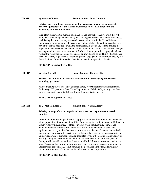#### **HB 942 by Warren Chisum Senate Sponsor: Juan Hinojosa**

#### **Relating to certain bond requirements for persons engaged in certain activities under the jurisdiction of the Railroad Commission of Texas other than the ownership or operation of wells.**

In an effort to reduce the number of orphan oil and gas wells (inactive wells that will likely have to be plugged by the state) the 77th Legislature enacted a series of changes, establishing that any company that conducts operations within the Texas Railroad Commission's jurisdiction would have to post a bond, letter of credit, or cash deposit as part of the annual registration with the commission. If a company fails to provide the requisite financial assurance it cannot conduct operations. The purpose of those changes was to provide the state with a source of funds to clean up pollution or plug abandoned wells if the responsible operator was unable or unwilling to do so. H.B. 942 establishes financial security requirements for certain persons engaged in activities regulated by the Texas Railroad Commission other than the ownership or operation of wells.

**EFFECTIVE: September 1, 2003** 

#### **HB 1075 by Brian McCall Senate Sponsor: Rodney Ellis**

#### **Relating to criminal history record information for state agency information technology personnel.**

Allows State Agencies to acquire criminal history record information on Information Technology (IT) personnel from Texas Department of Public Safety or any other law enforcement entity and establishes rules for their acquisition and use.

#### **EFFECTIVE: September 1, 2003**

#### **HB 1138 by Corbin Van Arsdale Senate Sponsor: Jon Lindsay**

#### **Relating to nonprofit water supply and sewer service corporations in certain counties.**

Current law prohibits nonprofit water supply and sewer service corporations in counties with a population of more than 3.3 million from having the ability to: own, hold, lease, or acquire water wells, springs, or other sources of water supply; build, operate, and maintain pipelines to transport water or wastewater; build and operate plants and equipment necessary to distribute water or to treat and dispose of wastewater; and sell water or provide wastewater services to a political subdivision, a private corporation, or an individual. Under current population estimates by the U.S. Census, Harris County is the only county in Texas excluded under this section. Due to this provision, Harris County residents with contaminated water are afforded fewer options than residents of other Texas counties to form nonprofit water supply and sewer service corporations to address these concerns. H.B. 1138 removes the population limitation, allowing any county to form non-profit water supply and sewer service corporations.

#### **EFFECTIVE: May 15, 2003**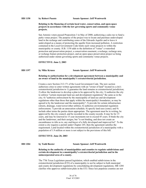**HB 1150 by Robert Puente Senate Sponsor: Jeff Wentworth** 

#### **Relating to the financing of certain local water, conservation, and open-space projects in accordance with the law governing sports and community venue projects.**

San Antonio voters passed Proposition 3 in May of 2000, authorizing a sales tax to fund a parks venue project. The purpose of the project was to locate and purchase undeveloped land in the recharge and contributing zones of the Edwards Aquifer and to leave it undeveloped as a means of protecting the aquifer from increased pollution. A restriction contained in the Local Government Code limits such venue projects to within the municipality or county. H.B. 1150 adds to the definition of "venue" a watershed protection and preservation project, a conservation easement, a recharge, recharge area, or recharge feature protection project, and an open-space preservation project as being authorized under statute governing sports and community venue projects.

#### **EFFECTIVE: June 2, 2003**

#### **HB 1197 by Mike Krusee Senate Sponsor: Jeff Wentworth**

#### **Relating to authorization for a development agreement between a municipality and an owner of land in the municipality's extraterritorial jurisdiction.**

Creates a new Section 212.171 of the Local Government Code. The new section authorizes cities to enter written agreements with an "owner of land" located in a city's extraterritorial jurisdiction to 1) guarantee the land remains as extraterritorial jurisdiction; 2) allow the landowner to develop a plan to be approved by the city; 3) authorize the city to enforce "certain municipal land use and development regulations" the same as in the city; 4) "authorize enforcement by the municipality of land use and development regulations other than those that apply within the municipality's boundaries, as may be agreed to by the landowner and the municipality"; 5) provide for certain infrastructure (streets, drainage, water/sewer/other utilities; 6) authorize environmental regulation enforcement; 7) provide an annexation schedule; 8) specify land uses (zone); and 9) include other terms the parties deem appropriate. The agreement must be in writing, be approved by the city council, and be recorded in the county records. It may be for 15 years, and may be renewed in 15 year increments not to exceed 45 years. It binds the city and the landowner, and their assigns, but "is not binding, and does not create an encumbrance to title as to, any end-buyer of a fully developed and improved lot". To the extent a city requires a permit under Chapter 245, then the agreement satisfies the requirement. Land located within the extraterritorial jurisdiction of a municipality with a population of 1.9 million or more is not subject to the provisions of this bill.

#### **EFFECTIVE: June 20, 2003**

**HB 1204 by Todd Baxter Senate Sponsor: Jeff Wentworth** 

**Relating to the authority of municipalities and counties to regulate subdivisions and certain development in a municipality's extraterritorial jurisdiction and in the unincorporated area of a county.** 

The 77th Texas Legislature passed legislation, which enabled subdivisions in the extraterritorial jurisdiction (ETJ) of a municipality to not be subject to both municipal and county development regulations by consolidating development regulations. HB 1204 clarifies who approves subdivision plats in the ETJ. Since less populous counties are not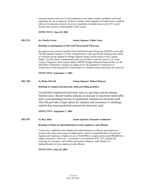experiencing the same level of development as are urban counties, problems with dual regulation are not as apparent. In those counties, dual regulation of subdivisions would be allowed. In populous counties, however, regulation of subdivisions in the ETJ would become the exclusive responsibility of the county.

**EFFECTIVE: June 20, 2003** 

#### **HB 1231 by Charlie Geren Senate Sponsor: Eddie Lucio**

#### **Relating to management of the Gulf Intracoastal Waterway.**

Recognizes the economic benefit of the Gulf Intracoastal Waterway (GIWW) to the state. The bill amends Chapter 51 of the Transportation Code, specifically limiting state ability to condemn private upland for dredge disposal along certain reaches of the Laguna Madre. The bill allows condemnation only in accordance with the current U.S. Army Corps of Engineers draft Laguna Madre GIWW Dredged Material Disposal Plan (or the final Plan if substantive changes are approved by the legislature). References to limitations on land acquisition of land subject to a habitat conservation plan are removed.

#### **EFFECTIVE: September 1, 2003**

#### **HB 1282 by Brian McCall Senate Sponsor: Robert Duncan**

#### **Relating to commercial electronic mail; providing penalties.**

Unsolicited commercial electronic mail is a growing concern among Internet users. Recent studies indicate an increase in electronic mail traffic and a corresponding increase in unsolicited commercial electronic mail. This bill provides a legal option for industry and consumers to challenge entities that send unsolicited commercial electronic mail.

#### **EFFECTIVE: September 1, 2003**

#### **HB 1297 by Ray Allen Senate Sponsor: Kenneth Armbrister**

#### **Relating to limits on indemnification of state employees and officials.**

Current law establishes state liability for indemnification of officers and employees acting in the course and scope of employment. Limits on indemnification for personal injuries and violations of rights are set at "\$100,000 to a single person and \$300,000 for a single occurrence". However, "occurrence" is not defined. H.B. 1297 clarifies the meaning of occurrence, and clarifies provisions relating to state liability for indemnification of state employees and officials.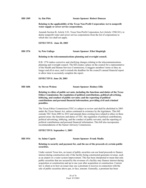#### **HB 1309 by Jim Pitts Senate Sponsor: Robert Duncan**

#### **Relating to the applicability of the Texas Non-Profit Corporation Act to nonprofit water supply or sewer service corporations.**

Amends Section B, Article 2.01, Texas Non-Profit Corporation Act (Article 13962.01), to delete nonprofit water and sewer service corporations from the list of corporations to which this Act shall not apply.

**EFFECTIVE: June 20, 2003** 

#### **HB 1576 by Pete Gallego Senate Sponsor: Eliot Shapleigh**

**Relating to the telecommunications planning and oversight council.** 

H.B. 1576 makes corrective and clarifying changes relating to the telecommunications planning and oversight council. The bill creates a place on the council for a representative of the Health and Human Services Commission; it staggers members' terms so they no longer end all at once; and it extends the deadline for the council's annual financial report to allow time to accurately complete the report.

**EFFECTIVE: June 20, 2003** 

#### **HB 1606 by Steven Wolens Senate Sponsor: Rodney Ellis**

**Relating to ethics of public servants, including the functions and duties of the Texas Ethics Commission; the regulation of political contributions, political advertising, lobbying, and conduct of public servants; and the reporting of political contributions and personal financial information; providing civil and criminal penalties.** 

The Texas Ethics Commission (TEC) is subject to review and shall be abolished in 2003 under the Texas Sunset Act, unless continued in existence by the legislature. This bill extends TEC from 2003 to 2015 and amends three existing laws related to ethics in three general areas: the functions and duties of TEC; the regulation of political contributions, political advertising, lobbying, and the conduct of public servants; and the reporting of political contributions and personal financial information. This bill also incorporates recommendations of the Sunset Advisory Commission.

**EFFECTIVE: September 1, 2003** 

#### **HB 1934 by Jaime Capelo Senate Sponsor: Frank Madla**

#### **Relating to security and payment for, and the use of the proceeds of, certain public securities.**

Under current Texas law, an issuer of public securities can use bond proceeds to finance interest during construction only if the facility being constructed generates revenue, such as an airport or a water system improvement. This has been interpreted to mean that only public securities that are secured by the revenues of a facility may finance interest during acquisition or construction and up to one year after acquisition or construction. Current law is silent as to how an issuer may use a premium it receives in connection with the sale of public securities above par, or face, amount. Generally, a premium has been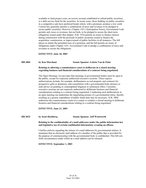available to fund project costs, an escrow account established to refund public securities, or a debt service fund for the securities. In recent years, those bidding on public securities in a competitive sale have preferred bonds which, with a premium, produce a low yield. Current law generally permits a combination of taxes and revenues to be pledged to secure public securities. However, Chapter 1431 (Anticipation Notes), Government Code permits only taxes or revenues, but not both, to be pledged to secure the short-term obligations issued under that chapter. H.B. 1934 permits an issuer to finance interest during construction with the proceeds of public securities issued to finance the acquisition, construction, or improvement of public facilities in all instances. The bill places in statute the permitted uses of a premium, and the bill permits an issuer of obligations under Chapter 1431, Government Code to pledge a combination of taxes and revenues to secure the obligations.

#### **EFFECTIVE: June 18, 2003**

#### **HB 2004 by Ken Marchant Senate Sponsor: Leticia Van de Putte**

#### **Relating to allowing a commissioners court to deliberate in a closed meeting regarding business and financial considerations of a contract being negotiated.**

The Open Meetings Act provides that meetings of governmental bodies must be open to the public, except for expressly authorized executive sessions. These express authorizations include, for example, deliberations on real property and contracts for prospective gifts or donations; and consultation with a governmental body attorney to seek advice on pending or contemplated litigation or settlement offers. Currently, executive sessions are not expressly authorized to deliberate business and financial considerations relating to a contract being negotiated. Conducting such deliberations in an open meeting can undermine the negotiating posture of a governmental entity, thereby resulting in a greater expenditure of public funds than may be necessary. H.B. 2004 authorizes the commissioners courts of a county to conduct a closed meeting to deliberate business and financial considerations relating to a contract being negotiated.

#### **EFFECTIVE: June 21, 2003**

#### **HB 2032 by Scott Hochberg Senate Sponsor: Jeff Wentworth**

#### **Relating to the confidentiality of e-mail addresses under the public information law and legislative use of certain confidential information; creating an offense.**

Clarifies policies regarding the release of e-mail addresses by governmental entities. It maintains that an electronic mail address of a member of the public that is provided for the purpose of communicating with the governmental body is confidential. This bill sets forth circumstances under which an e-mail address can be released.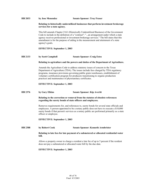#### **HB 2033 by Jose Menendez Senate Sponsor: Troy Fraser**

#### **Relating to historically underutilized businesses that perform investment brokerage services for a state agency.**

This bill amends Chapter 2161 (Historically Underutilized Business) of the Government Code to include in the definition of a "contract": "...an arrangement under which a state agency receives professional or investment brokerage services." The bill states that this amendment is for the purpose of aiding in the measurement and attainment of a state agency's goals.

#### **EFFECTIVE: September 1, 2003**

#### **HB 2133 by Scott Campbell Senate Sponsor: Craig Estes**

#### **Relating to agriculture and the powers and duties of the Department of Agriculture.**

Amends the Agriculture Code to address statutory issues of concern to the Texas Department of Agriculture (TDA). The issues include fees charged by TDA regulatory programs, insurance provisions governing public grain warehouses, establishment of voluntary certification program for producers transitioning to organic production practices and maintenance of phytosanitary certificates.

#### **EFFECTIVE: September 1, 2003**

#### **HB 2376 by Gary Elkins Senate Sponsor: Kip Averitt**

#### **Relating to the correction or removal from the statutes of obsolete references regarding the surety bonds of state officers and employees.**

Removes requirements for, and references to, surety bonds for several state officials and employees. A person appointed to be a notary public does not have to execute a \$10,000 surety bonds if that person's services as a notary public are performed primarily as a state officer or employee.

#### **EFFECTIVE: September 1, 2003**

#### **HB 2388 by Robert Cook Senate Sponsor: Kenneth Armbrister**

#### **Relating to late fees for late payment of a submetered or allocated residential water bill.**

Allows a property owner to charge a resident a late fee of up to 5 percent if the resident does not pay a submetered or allocated water bill by the due date.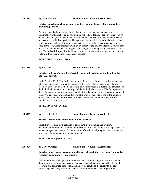#### **HB 2424 by Brian McCall Senate Sponsor: Kenneth Armbrister**

#### **Relating to technical changes to taxes and fees administered by the comptroller; providing penalties.**

As the principal administrator of tax collection and revenue management, the Comptroller's office relies on its rulemaking authority to facilitate the performance of its duties. Over time, the agency relies on some policies with such frequency that it becomes necessary to codify those policies. The agency's pivotal role in the administration of state funds requires the Comptroller to remain actively involved in the enforcement of every code of the law. Close interaction with every aspect of the law provides the Comptroller's office with an appreciable advantage in modifying or correcting many portions of state law. The bill codifies policies, facilitates enforcement, and makes technical corrections to state law, thus maximizing the agency's resources.

#### **EFFECTIVE: October 1, 2003**

#### **HB 2819 by Joe Driver Senate Sponsor: Bob Deuell**

#### **Relating to the confidentiality of certain home address information held by a tax appraisal district.**

Under Section 25.02, Tax Code, tax appraisal district records must include the name and address of the property owner. In the case of the victim of a serious crime of family violence, disclosure of the home addresses of such individuals is potentially dangerous to the individual, the individual's family, and the individual's property. H.B. 2819 provides that information in appraisal records that identifies the home address of certain victims of family violence is confidential and is available only for the official use of the appraisal district, this state, the comptroller of public accounts, and taxing units and political subdivisions of this state.

#### **EFFECTIVE: June 20, 2003**

#### **HB 2947 by Carter Casteel Senate Sponsor: Kenneth Armbrister**

#### **Relating to state agency decentralization of services.**

Current law requires state agencies to coordinate their planning and program development with regional planning commissions. H.B. 2947 extends this requirement to include an agency's plans for decentralization of services and programs, and outlines the procedures for implementing the requirement.

#### **EFFECTIVE: September 1, 2003**

#### **HB 3024 by Carter Casteel Senate Sponsor: Kenneth Armbrister**

#### **Relating to increasing governmental efficiency through the reduction of duplicative reporting and auditing requirements.**

This bill requires state agencies that require reports from local governments to review their reporting requirements every second year of each biennium in an effort to simplify reporting and eliminate duplication, and report the results of the review to the state auditor. Agencies may not require reports not required by law, rule, or performance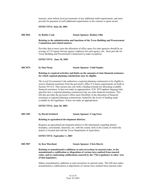measure, must inform local governments of any additional audit requirements, and must provide for payment of such additional requirements in the contract or grant award.

#### **EFFECTIVE: June 20, 2003**

#### **HB 3042 by Robby Cook Senate Sponsor: Rodney Ellis**

**Relating to the administration and functions of the Texas Building and Procurement Commission and related matters.** 

Provides that in most cases the allocation of office space for state agencies should be an average of 135 square feet per agency employee for each agency site. Does provide for Texas Building and Procurement Commission to make exceptions.

**EFFECTIVE: June 18, 2003** 

#### **HB 3074 by Dan Flynn Senate Sponsor: Todd Staples**

**Relating to required activities and limits on the amounts of state financial assistance for which regional planning commissions may be eligible.** 

The Local Government Code authorizes a regional planning commission to be eligible to receive financial assistance from the governor's office if it meets requirements set forth in Section 391.012. That section also sets forth a funding formula for allocating available financial assistance. It does not make an appropriation. H.B. 3074 updates language that specifies how a regional planning commission may use state financial assistance. This bill also provides the governor's office more flexibility in the allocation of financial assistance to regional planning commissions, limited by the levels of funding made available by the legislature. It does not make an appropriation.

#### **EFFECTIVE: June 20, 2003**

#### **HB 3383 by David Swinford Senate Sponsor: Craig Estes**

#### **Relating to agricultural development districts.**

Requires an agricultural development district to file information regarding district boundary, assessments, functions, etc. with the county clerk in the county in which the district is located and with the Texas Department of Agriculture.

**EFFECTIVE: September 1, 2003** 

#### **HB 3507 by Ken Marchant Senate Sponsor: Chris Harris**

**Relating to nonsubstantive additions to and corrections in enacted codes, to the nonsubstantive codification or disposition of various laws omitted from enacted codes, and to conforming codifications enacted by the 77th Legislature to other Acts of that legislature.** 

Makes nonsubstantive additions to and corrections in enacted codes. This bill also makes nonsubstantive codifications or depositions of various laws omitted form enacted codes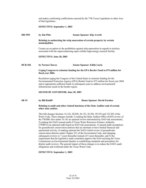and makes conforming codifications enacted by the 77th Texas Legislature to other Acts of that legislature.

#### **EFFECTIVE: September 1, 2003**

#### **HB 3591 by Jim Pitts Senate Sponsor: Kip Averitt**

**Relating to authorizing the strip annexation of certain property by certain municipalities.** 

Creates an exception to the prohibition against strip annexation in regards to territory associated with the superconducting super collider high-energy research facility.

**EFFECTIVE: June 20, 2003** 

#### **HCR 204** by Norma Chavez **Senate Sponsor: Eddie Lucio**

**Urging Congress to reinstate funding for the EPA Border Fund to \$75 million for fiscal year 2004.** 

Resolution urging the Congress of the United States to reinstate funding for the Environmental Protection Agency (EPA) Border Fund to \$75 million for fiscal year 2004 and to appropriate sufficient funds in subsequent years to address environmental infrastructure needs in the border region.

#### **SIGNED BY GOVERNOR: June 20, 2003**

#### **SB 19** by Bill Ratliff **House Sponsor: David Farabee House Sponsor: David Farabee**

#### **Relating to audit and other related functions of the State Auditor and of certain other state entities.**

This bill changes Sections 16.142, 20.020, 36.153, 36.302, 49.195 and 152.203 of the Water Code. These changes include 1) making the State Auditor Office (SAO) review of the TWDB's fees under 16.142 an optional review determined by SAO risk assessments, 2) making the SAO's annual audit of Texas Water Resources Finance Authority (TWRFA) an optional audit based on SAO risk assessments, 3) annual-audit exemptions for groundwater conservation districts that are dormant or have limited financial and operational activity, 4) making optional the SAO's initial review of groundwater conservation districts under Chapter 321 of the Government Code, and changing subsequent reviews to 7 years thereafter instead of 5 years thereafter, and 5) the requirement that the legislative audit committee approve the SAO assisting the Texas Commission on Environmental Quality in establishing standards and procedures for district audit reviews. The general impact of these changes is to reduce the SAO's audit obligations and workload under the Texas Water Code.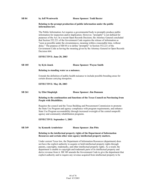#### **SB 84 by Jeff Wentworth House Sponsor: Todd Baxter**

#### **Relating to the prompt production of public information under the public information law.**

The Public Information Act requires a governmental body to promptly produce public information for inspection and/or duplication. However, "promptly" is not defined for purposes of the Act. In a recent Open Records Decision, the Attorney General concluded that Section 552.221 of the Government Code requires the release of information as "soon as possible under the circumstances, meaning within a reasonable time, without delay." The purpose of SB 84 is to define "promptly" in Section 552.221 of the Government Code as having the meaning given by the Attorney General in Open Records Decision 664.

#### **EFFECTIVE: June 20, 2003**

#### **SB 185 by Kyle Janek House Sponsor: Wayne Smith**

**Relating to standing water as a nuisance.** 

Extends the definition of public health nuisance to include possible breeding areas for certain disease carrying mosquitos.

**EFFECTIVE: May 28, 2003** 

#### **SB 261 by Eliot Shapleigh House Sponsor: Jim Dunnam**

#### **Relating to the continuation and functions of the Texas Council on Purchasing from People with Disabilities.**

Requires the council and the Texas Building and Procurement Commission to promote the State Use Program and agency compliance with program requirements, and enhance State Use Program accountability through increased oversight of the central nonprofit agency and community rehabilitation programs.

**EFFECTIVE: September 1, 2003** 

#### **SB 349 by Kenneth Armbrister House Sponsor: Jim Pitts**

**Relating to the intellectual property rights of the Department of Information Resources and certain other state agency intellectual property matters.** 

Under current Texas law, the Department of Information Resources (department) does not have the explicit authority to acquire or hold intellectual property rights through patents, copyrights, trademarks, and other intellectual property rights. As a result, the department is unable to copyright and trademark parts of its intellectual property and derive revenue from it. SB 349 amends the Government Code to give the department that explicit authority and to require any revenue acquired from intellectual property to be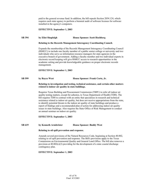paid to the general revenue fund. In addition, the bill repeals Section 2054.124, which requires each state agency to perform a biennial audit of software licenses for software installed in the agency's computers.

#### **EFFECTIVE: September 1, 2003**

#### **SB 394 by Eliot Shapleigh House Sponsor: Scott Hochberg**

#### **Relating to the Records Management Interagency Coordinating Council.**

Expands the membership of the Records Management Interagency Coordinating Council (RMICC) to include one faculty member of a public senior college or university and two individuals who serve as information resource managers for state agencies in the executive branch of government. Adding a faculty member and two individual experts in electronic record keeping will give RMICC access to research opportunities in the academic setting and provide knowledgeable guidance on proper electronic records management.

#### **EFFECTIVE: September 1, 2003**

#### **SB 599 by Royce West House Sponsor: Frank Corte, Jr.**

#### **Relating to investigation and testing, technical assistance, and certain other matters related to indoor air quality in state buildings.**

Requires Texas Building and Procurement Commission (TBPC) to refer all indoor air quality testing matters, except for asbestos, to Texas Department of Health (TDH). The bill requires TDH to contract with an entity that specializes in research and technical assistance related to indoor air quality, but does not receive appropriations from the state, to identify potential threats to the indoor air quality of state buildings and produce a report of findings and a recommended plan of action for addressing indoor air quality issues in state buildings. Also requires the State Office of Risk Management to conduct an annual seminar on indoor air quality.

#### **EFFECTIVE: September 1, 2003**

#### **SB 619 by Kenneth Armbrister House Sponsor: Buddy West**

#### **Relating to oil spill prevention and response.**

Amends several provisions of the Natural Resources Code, beginning at Section 40.002, relating to oil spill prevention and response. The Bill's provisions apply to the Texas Commission on Environmental Quality and General Land Office. The bill also removes a provision at 40.002(c)(3) providing for the development of a state coastal discharge contingency plan.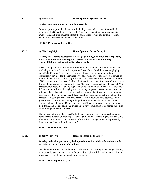#### SB 641 by Royce West **House Sponsor: Sylvester Turner**

#### **Relating to presumptions for state land records.**

Creates a presumption that documents, including maps and surveys, of record in the archives of the General Land Office (GLO) accurately depict boundaries of patents, grants, sales, and titles emanating from the state. This presumption gives more legal weight to the historical documents in the GLO.

#### **EFFECTIVE: September 1, 2003**

**SB 652 by Eliot Shapleigh House Sponsor: Frank Corte, Jr.** 

#### **Relating to economic development, strategic planning, and other issues regarding military facilities, and the merger of certain state agencies with military responsibilities; granting authority to issue bonds.**

Texas' 18 major military installations are important economic contributors to the state, producing a combined economic impact on Texas of over \$49 billion and employing some 22,000 Texans. The presence of these military bases is important not only economically but also for the increased level of security protection they offer as well as their vital historical and cultural significance. The United States Department of Defense (DOD) has announced plans to facilitate the transition and transformation of bases largely through dollar savings associated with the 2005 Base Realignment and Closure (BRAC) process which could close and realign as much as 25 percent of DOD bases. Assists local defense communities in identifying and resourcing cooperative economic development initiatives that enhance the real military value of their installations, providing important cost saving options to reduce overall base operating costs, and by institutionalizing the process of investing in Texas' military bases. It also encourages state agencies and local governments to prioritize issues regarding military bases. The bill abolishes the Texas Strategic Military Planning Commission and the Office of Defense Affairs, and moves their duties, and assigns additional duties, into a new commission to be named the Texas Military Preparedness Commission.

The bill also authorizes the Texas Public Finance Authority to issue general obligation bonds for the purpose of financing a loan program aimed at increasing the military value of defense communities. This provision of the bill is contingent upon the approval by Texas voters of Senate Joint Resolution 55.

**EFFECTIVE: May 28, 2003** 

#### **SB 653 by Jeff Wentworth House Sponsor: Todd Baxter**

#### **Relating to the charges that may be imposed under the public information law for providing a copy of public information.**

Clarifies certain provisions in the Public Information Act relating to the charges that may be imposed by governmental bodies for providing copies of information and relating to procedures for resolving complaints of overcharging.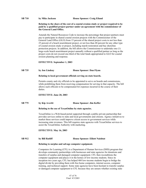#### SB 710 by Mike Jackson **House Sponsor: Craig Eiland**

#### **Relating to the share of the cost of a coastal erosion study or project required to be paid by a qualified project partner under an agreement with the commissioner of the General Land Office.**

Amends the Natural Resources Code to increase the percentage that project partners must pay to participate in shared coastal erosion projects with the Commissioner of the General Land Office (GLO) from 15 percent of the shared project costs to not less than 25 percent of a beach nourishment project, or not less than 40 percent for any other type of coastal erosion study or project, including marsh restoration and bay shoreline protection projects. In addition, the bill allows the Commissioner to undertake one (1) large-scale beach nourishment project annually without a qualified partner as long as the project costs do not exceed one-third of the total funds appropriated to GLO for coastal erosion planning and response.

#### **EFFECTIVE: September 1, 2003**

#### **SB 735 by Jon Lindsay House Sponsor: Dan Flynn**

#### **Relating to local government officials serving on state boards.**

Permits county and city officials to be appointed to serve on boards and commissions, while prohibiting them from receiving compensation for serving in that capacity. The bill allows such officials to be compensated for expenses incurred in the course of their duties.

**EFFECTIVE: June 20, 2003** 

### SB 775 by Kip Averitt **House Sponsor: Jim Keffer**

#### **Relating to the use of TexasOnline by state agencies.**

TexasOnline is a Web-based portal supported through a public-private partnership that provides services online to state and local governments and citizens. Agency initiatives to market these services could improve citizen access to government services while increasing state revenues. This bill requires state agencies with TexasOnline services to assist the TexasOnline Authority with marketing.

#### **EFFECTIVE: May 16, 2003**

#### **SB 912** by Bill Ratliff **House Sponsor: Elliott Naishtat**

#### **Relating to surplus and salvage computer equipment.**

Computers for Learning (CFL) is a Department of Human Services (DHS) program that develops community partnerships with businesses and state agencies for donations and transfers of surplus and damaged computer equipment. CFL then reconditions the computer equipment and places it in the homes of low-income students. Since its inception two years ago, CFL has helped 460 low-income students begin to bridge the digital divide by providing them with free home computers, internet access, computer training, and technical support. Some state agencies have been hesitant to transfer surplus or damaged computer equipment to CFL because they are unsure whether existing state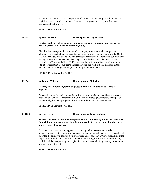law authorizes them to do so. The purpose of SB 912 is to make organizations like CFL eligible to receive surplus or damaged computer equipment and property from state agencies and institutions.

#### **EFFECTIVE: June 20, 2003**

#### **SB 934 by Mike Jackson House Sponsor: Wayne Smith**

#### **Relating to the use of certain environmental laboratory data and analysis by the Texas Commission on Environmental Quality.**

Clarifies that a company that hosts another company on the same site can provide laboratory services that will be accepted by Texas Commission on Environmental Quality (TCEQ); provides that a company can use results from its own laboratories out-of-state if TCEQ has reason to believe the laboratory is controlled as well as laboratories are controlled in Texas; and allows TCEQ to accept laboratory results from inhouse or onsite laboratories that are subject to inspection when the work is being done for a state agency, a charitable organization, or a public-private partnership.

#### **EFFECTIVE: September 1, 2003**

#### **SB 996 by Tommy Williams House Sponsor: Phil King**

#### **Relating to collateral eligible to be pledged with the comptroller to secure state deposits.**

Amends Sections 404.0221(b) and (d) of the Government Code to add letters of credit issued by an agency or instrumentality of the United States government to the types of collateral eligible to be pledged with the comptroller to secure state deposits.

#### **EFFECTIVE: September 1, 2003**

#### **SB 1000 by Royce West House Sponsor: Toby Goodman**

**Relating to a statistical or demographic analysis conducted by the Texas Legislative Council for a state agency and to information collected by the council in the course of performing the analysis.** 

Prevents agencies from using appropriated money to hire a consultant or other nongovernmental entity to perform a demographic or statistical analysis on data collected by or for the agency to conduct a study required under state law without first asking if the Legislative Council could perform or assist in performing the analysis. In addition, any confidential data acquired by the Legislative Council in conducting an analysis would not lose its confidential nature.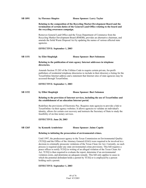#### **SB 1091 by Florence Shapiro House Sponsor: Larry Taylor**

**Relating to the composition of the Recycling Market Development Board and the termination of certain duties of the General Land Office relating to the board and the recycling awareness campaign.** 

Removes General Land Office and the Texas Department of Commerce from the Recycling Market Development Board (RMDB), provides an alternative chairman, and amends the Solid Waste Disposal Act by updating the names of various affected state agencies.

#### **EFFECTIVE: September 1, 2003**

#### **SB 1151 by Eliot Shapleigh House Sponsor: Burt Solomons**

#### **Relating to the publication of state agency Internet addresses in telephone directories.**

Amends Section 55.203 of the Utilities Code to require certain private, for-profit publishers of residential telephone directories to include in their directory a listing for the TexasOnline Internet address and a statement that Internet sites of state agencies may be accessed through TexasOnline.

#### **EFFECTIVE: September 1, 2003**

#### **SB 1152 by Elliot Shapleigh House Sponsor: Burt Solomon**

#### **Relating to the provision of Internet services, including the use of TexasOnline and the establishment of an education Internet portal.**

Redefines the provisions of Electronic Pay. Requires state agencies to provide a link to TexasOnline via their agency websites. It allows agencies to validate an individual's identity, allows for certain cost recovery and instructs the Secretary of State to study the feasibility of on-line notary services.

#### **EFFECTIVE: June 20, 2003**

#### **SB 1265 by Kenneth Armbrister House Sponsor: Jaime Capelo**

#### **Relating to initiating the prosecution of environmental crimes.**

Until 1997, the predecessor agency to the Texas Commission on Environmental Quality (TCEQ) and the Office of the Attorney General (OAG) were required to be involved in a decision to criminally prosecute violations of the Texas Clean Air Act. Currently, no such process is required under any state environmental crime provisions. This bill requires a peace officer to notify TCEQ in writing of an alleged violation of the Texas Clean Air Act. TCEQ is then required to evaluate the report, determine if an environmental violation exists, and determine an adequate remedy. This bill only applies to cases in which the potential defendant holds a permit by TCEQ or is employed by a person holding such a permit.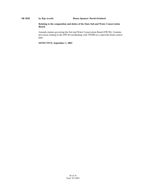#### SB 1828 by Kip Averitt **House Sponsor: David Swinford**

#### **Relating to the composition and duties of the State Soil and Water Conservation Board.**

Amends statutes governing the Soil and Water Conservation Board (SWCB). Contains provisions relating to the SWCB coordinating with TWDB on a statewide brush control plan.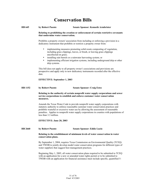# **Conservation Bills**

#### **HB 645 by Robert Puente Senate Sponsor: Kenneth Armbrister**

**Relating to prohibiting the creation or enforcement of certain restrictive covenants that undermine water conservation.** 

Prohibits a property owners' association from including or enforcing a provision in a dedicatory instrument that prohibits or restricts a property owner from:

- implementing measures promoting solid-waste composting of vegetation, including grass clippings, leaves, or brush, or leaving grass clippings uncollected on grass;
- installing rain barrels or a rainwater harvesting system; or
- implementing efficient irrigation systems, including underground drip or other drip systems.

This bill does not apply to all property owner's associations and provisions are prospective and apply only to new dedicatory instruments recorded after the effective date.

#### **EFFECTIVE: September 1, 2003**

#### **HB 1152 by Robert Puente Senate Sponsor: Craig Estes**

**Relating to the authority of certain nonprofit water supply corporations and sewer service corporations to establish and enforce customer water conservation measures.** 

Amends the Texas Water Code to provide nonprofit water supply corporations with statutory authority to enforce reasonable customer water conservation practices and prohibits wasteful or excessive water use by allowing the assessment of reasonable penalties. Applies to nonprofit water supply corporations in counties with populations of less than 3.3 million.

**EFFECTIVE: June 20, 2003** 

#### **HB 2660 by Robert Puente Senate Sponsor: Eddie Lucio**

**Relating to the establishment of minimum levels of water conservation in water conservation plans.** 

By September 1, 2004, requires Texas Commission on Environmental Quality (TCEQ) and TWDB to jointly develop model water conservation programs for different types of water suppliers that suggest best management practices.

Beginning May 1, 2005, all water conservation plans required to be submitted to TCEQ with an application for a new or amended water rights permit or to be submitted to TWDB with an application for financial assistance must include specific, quantified 5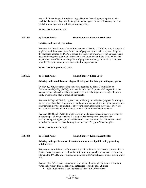year and 10-year targets for water savings. Requires the entity preparing the plan to establish the targets. Requires the targets to include goals for water loss programs and goals for municipal use in gallons per capita per day.

#### **EFFECTIVE: June 20, 2003**

#### **HB 2661 by Robert Puente Senate Sponsor: Kenneth Armbrister**

#### **Relating to the use of graywater.**

Requires the Texas Commission on Environmental Quality (TCEQ), by rule, to adopt and implement minimum standards for the use of graywater for certain purposes. Requires the standards adopted by TCEQ to assure that the use of graywater is not a nuisance and does not damage the quality of surface water and groundwater in the State. Allows the unpermitted use of less than 400 gallons of graywater each day for certain private uses provided the system complies with certain design parameters.

**EFFECTIVE: September 1, 2003** 

#### **HB 2663 by Robert Puente Senate Sponsor: Eddie Lucio**

#### **Relating to the establishment of quantifiable goals for drought contingency plans.**

By May 1, 2005, drought contingency plans required by Texas Commission on Environmental Quality (TCEQ) rule must include specific, quantified targets for water use reductions to be achieved during periods of water shortages and drought. Requires entity preparing the plan to establish the targets.

Requires TCEQ and TWDB, by joint rule, to identify quantified target goals for drought contingency plans that wholesale and retail public water suppliers, irrigation districts, and other entities may use as guidelines in preparing drought contingency plans. Provides that goals established under this subsection are not enforceable requirements.

Requires TCEQ and TWDB to jointly develop model drought contingency programs for different types of water suppliers that suggest best management practices for accomplishing the highest practicable levels of water use reductions achievable during periods of water shortages and drought for each specific type of water supplier.

#### **EFFECTIVE: June 20, 2003**

#### **HB 3338 by Robert Puente Senate Sponsor: Kenneth Armbrister**

#### **Relating to the performance of a water audit by a retail public utility providing potable water.**

Requires water utilities to perform water audits in order to increase water conservation in Texas. Every five years, a retail public utility providing potable water shall perform and file with the TWDB a water audit computing the utility's most recent annual system water loss.

Requires the TWDB to develop appropriate methodologies and submission dates for a water audit required for the following categories of retail public utilities:

• retail public utilities serving populations of 100,000 or more;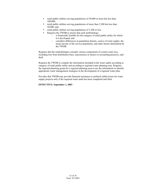- retail public utilities serving populations of 50,000 or more but less than 100,000;
- retail public utilities serving populations of more than 3,300 but less than 50,000; and
- retail public utilities serving populations of 3,300 or less.
- Requires the TWDB to ensure that each methodology:
	- is financially feasible for the category of retail public utility for which it is developed; and
	- considers differences in population density, source of water supply, the mean income of the service population, and other factors determined by the TWDB.

Requires that the methodologies consider various components of system water loss, including loss from distribution lines, inaccuracies in meters or accounting practices, and theft.

Requires the TWDB to compile the information included in the water audits according to category of retail public utility and according to regional water planning area. Requires the regional planning group for a regional planning area to use the information to identify appropriate water management strategies in the development of a regional water plan.

Provides that TWDB may provide financial assistance to political subdivisions for water supply projects only if the required water audit has been completed and filed.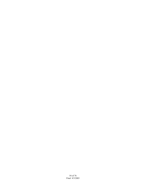54 of 76 Final 8/5/2003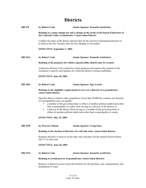# **Districts**

| HB 535         | by Robert Cook                                                                                                                                                                                                                                                                                                                                                                                                                                                                       | <b>Senate Sponsor: Kenneth Amrbrister</b>                                                    |  |
|----------------|--------------------------------------------------------------------------------------------------------------------------------------------------------------------------------------------------------------------------------------------------------------------------------------------------------------------------------------------------------------------------------------------------------------------------------------------------------------------------------------|----------------------------------------------------------------------------------------------|--|
|                | Relating to a name change for and a change in the terms of the board of directors of<br>the Colorado Valley Groundwater Conservation District.                                                                                                                                                                                                                                                                                                                                       |                                                                                              |  |
|                | Codifies the name of the district and provides for the election of permanent directors to<br>be held on the first Tuesday after the first Monday in November.                                                                                                                                                                                                                                                                                                                        |                                                                                              |  |
|                | <b>EFFECTIVE: September 1, 2003</b>                                                                                                                                                                                                                                                                                                                                                                                                                                                  |                                                                                              |  |
| <b>HB</b> 1014 | by Robert Cook                                                                                                                                                                                                                                                                                                                                                                                                                                                                       | <b>Senate Sponsor: Kenneth Armbrister</b>                                                    |  |
|                | Relating to the purposes for which a special utility district may be created.                                                                                                                                                                                                                                                                                                                                                                                                        |                                                                                              |  |
|                | Authorizes districts to be created for certain purposes and requires the contents of the<br>resolution to specify each purpose for which the district is being established.                                                                                                                                                                                                                                                                                                          |                                                                                              |  |
|                | <b>EFFECTIVE: June 20, 2003</b>                                                                                                                                                                                                                                                                                                                                                                                                                                                      |                                                                                              |  |
| <b>HB</b> 1065 | by Robert Cook                                                                                                                                                                                                                                                                                                                                                                                                                                                                       | <b>Senate Sponsor: Kip Averitt</b>                                                           |  |
|                | Relating to the eligibility requirements to serve as a director of a groundwater<br>conservation district.                                                                                                                                                                                                                                                                                                                                                                           |                                                                                              |  |
|                | Specifies that in a district with a population of less than 50,000 the common law doctrine<br>of incompatibility does not qualify:<br>a member of the governing body or officer of another political subdivision other<br>than a municipality or county from serving as a director of the district, or<br>a director of the district from serving as a member of the governing body or<br>$\bullet$<br>officer of another political subdivision other than a municipality or county. |                                                                                              |  |
|                | <b>EFFECTIVE: May 19, 2003</b>                                                                                                                                                                                                                                                                                                                                                                                                                                                       |                                                                                              |  |
| <b>HB</b> 1078 | by Warren Chisum                                                                                                                                                                                                                                                                                                                                                                                                                                                                     | <b>Senate Sponsor: Craig Estes</b>                                                           |  |
|                | Relating to the election of directors of a soil and water conservation district.                                                                                                                                                                                                                                                                                                                                                                                                     |                                                                                              |  |
|                | July 15 of each year.                                                                                                                                                                                                                                                                                                                                                                                                                                                                | Requires directors to meet to set the date, time and place for the annual election before    |  |
|                | <b>EFFECTIVE: June 20, 2003</b>                                                                                                                                                                                                                                                                                                                                                                                                                                                      |                                                                                              |  |
| <b>HB</b> 1534 | by Robert Cook                                                                                                                                                                                                                                                                                                                                                                                                                                                                       | <b>Senate Sponsor: Kenneth Armbrister</b>                                                    |  |
|                | Relating to certain powers of groundwater conservation districts.                                                                                                                                                                                                                                                                                                                                                                                                                    |                                                                                              |  |
|                | distribution of water.                                                                                                                                                                                                                                                                                                                                                                                                                                                               | Removes a district's power to provide facilities for the purchase, sale, transportation, and |  |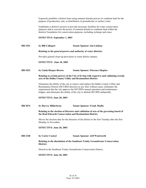Expressly prohibits a district from using eminent domain powers to condemn land for the purpose of production, sale, or distribution of groundwater or surface water.

Establishes a district's powers to provide necessary facilities for water conservation purposes and to exercise the power of eminent domain to condemn land within the districts' boundaries for conservation purposes, including recharge and reuse.

#### **EFFECTIVE: September 1, 2003**

#### **HB 1541 by Bill Callegari Senate Sponsor: Jon Lindsay**

#### **Relating to the general powers and authority of water districts.**

Provides general clean-up provisions to water district statutes.

**EFFECTIVE: June 18, 2003** 

#### **HB 1832 by Linda Harper-Brown Senate Sponsor: Florence Shapiro**

#### **Relating to certain powers of the City of Irving with regard to and validating certain acts of the Dallas County Utility and Reclamation District.**

Eliminates the ability of the city to remove and replace the Dallas County Utility and Reclamation District (DCURD) directors at any time without cause; eliminates the requirement that the city approve the DCURD's annual operation and maintenance budget; and eliminates the ability of the city to abolish DCURD unilaterally.

#### **EFFECTIVE: June 20, 2003**

#### **HB 2074 by Harvey Hilderbran Senate Sponsor: Frank Madla**

**Relating to the election of directors and validation of acts of the governing board of the Real-Edwards Conservation and Reclamation District.** 

Moves the election date for the directors of the district to the first Tuesday after the first Monday in November.

#### **EFFECTIVE: June 20, 2003**

#### **HB 2348 by Carter Casteel Senate Sponsor: Jeff Wentworth**

#### **Relating to the dissolution of the Southeast Trinity Groundwater Conservation District.**

Dissolves the Southeast Trinity Groundwater Conservation District.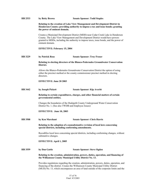#### **HB 2533 by Betty Brown Senate Sponsor: Todd Staples**

**Relating to the creation of Lake View Management and Development District in Henderson County; providing authority to impose a tax and issue bonds; granting the power of eminent domain.** 

Creates a Municipal Development District (MDD) near Cedar Creek Lake in Henderson County. The Lake View Management and Development District would have powers granted to MDDs, including the authority to impose taxes, issue bonds, and the power of eminent domain.

#### **EFFECTIVE: February 15, 2004**

#### **HB 3229** by Patrick Rose Senate Sponsor: Troy Fraser

**Relating to electing directors of the Blanco-Pedernales Groundwater Conservation District.** 

Allows the Blanco-Pedernales Groundwater Conservation District the option of using either the precinct method or the county commissioner precinct method in electing directors.

#### **EFFECTIVE: June 20 2003**

#### **HB 3442 by Joseph Pickett Senate Sponsor: Kip Averitt**

**Relating to certain expenditures, charges, and other financial matters of certain governmental entities.** 

Changes the boundaries of the Hudspeth County Underground Water Conservation District No. 1. (See also TWDB and Employee Issues)

**EFFECTIVE: June 10, 2003** 

#### **HB 3508 by Ken Marchant Senate Sponsor: Chris Harris**

**Relating to the adoption of a nonsubstantive revision of local laws concerning special districts, including conforming amendments.** 

Recodifies local laws concerning special districts, including conforming changes, without substantive changes.

**EFFECTIVE: April 1, 2005** 

### **HB 3559** by Dan Gattis Senate Sponsor: Steve Ogden

**Relating to the creation, administration, powers, duties, operation, and financing of the Williamson County Municipal Utility District No. 13.** 

Provides regulations regarding the creation, administration, powers, duties, operation, and financing of the district. Creates the Williamson County Municipal Utility District (MUD) No. 13, which encompasses an area of land outside of the corporate limits and the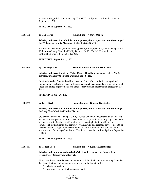extraterritorial, jurisdiction of any city. The MUD is subject to confirmation prior to September 1, 2005.

#### **EFFECTIVE: September 1, 2003**

#### **HB 3560 by Dan Gattis Senate Sponsor: Steve Ogden**

**Relating to the creation, administration, powers, duties, operation, and financing of the Williamson County Municipal Utility District No. 12.** 

Provides for the creation, administration, powers, duties, operation, and financing of the Williamson County Municipal Utility District No. 12. The MUD is subject to confirmation prior to September 1, 2005.

**EFFECTIVE: September 1, 2003** 

#### **HB 3563 by Glen Hegar, Jr. Senate Sponsor: Kenneth Armbrister**

**Relating to the creation of the Waller County Road Improvement District No. 1; providing authority to impose a tax and issue bonds.** 

Creates the Waller County Road Improvement District No. 1 (district) as a political subdivision of the State of Texas to finance, construct, acquire, and develop certain road, street, and bridge improvements and other conservation and reclamation projects in the district.

**EFFECTIVE: June 20, 2003** 

### **HB 3565 by Terry Keel Senate Sponsor: Gonzalo Barrientos**

**Relating to the creation, administration, powers, duties, operation, and financing of the Lazy Nine Municipal Utility District.** 

Creates the Lazy Nine Municipal Utility District, which will encompass an area of land outside of the corporate limits and the extraterritorial jurisdiction of any city. The land to be located within the district will be developed into single family residential and commercial developments; and therefore, water, sewer, and drainage services need to be secured. Provides regulations regarding the creation, administration, powers, duties, operation, and financing of the district. The district must be confirmed prior to September 1, 2005.

#### **EFFECTIVE: September 1, 2003**

#### **HB 3567 by Robert Cook Senate Sponsor: Kenneth Armbrister**

#### **Relating to the number and method of electing directors of the Coastal Bend Groundwater Conservation District.**

Allows the district to add one or more directors if the district annexes territory. Provides that the district must adopt an appropriate and equitable method for:

- electing directors;
- drawing voting district boundaries; and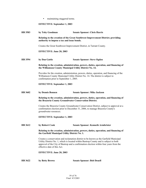• maintaining staggered terms.

| <b>HB</b> 3583 | by Toby Goodman                                                                                                                                                                                                                                                                                         | <b>Senate Sponsor: Chris Harris</b>                                  |  |  |
|----------------|---------------------------------------------------------------------------------------------------------------------------------------------------------------------------------------------------------------------------------------------------------------------------------------------------------|----------------------------------------------------------------------|--|--|
|                | Relating to the creation of the Great Southwest Improvement District; providing<br>authority to impose a tax and issue bonds.                                                                                                                                                                           |                                                                      |  |  |
|                |                                                                                                                                                                                                                                                                                                         | Creates the Great Southwest Improvement District, in Tarrant County. |  |  |
|                | <b>EFFECTIVE: June 20, 2003</b>                                                                                                                                                                                                                                                                         |                                                                      |  |  |
| HB 3594        | by Dan Gattis                                                                                                                                                                                                                                                                                           | <b>Senate Sponsor: Steve Ogden</b>                                   |  |  |
|                | Relating to the creation, administration, powers, duties, operation, and financing of<br>the Williamson County Municipal Utility District No. 14.                                                                                                                                                       |                                                                      |  |  |
|                | Provides for the creation, administration, powers, duties, operation, and financing of the<br>Williamson County Municipal Utility District No. 14. The district is subject to<br>confirmation prior to September 1, 2005.                                                                               |                                                                      |  |  |
|                | <b>EFFECTIVE: September 1, 2003</b>                                                                                                                                                                                                                                                                     |                                                                      |  |  |
| <b>HB</b> 3602 | by Dennis Bonnen                                                                                                                                                                                                                                                                                        | <b>Senate Sponsor: Mike Jackson</b>                                  |  |  |
|                | Relating to the creation, administration, powers, duties, operation, and financing of<br>the Brazoria County Groundwater Conservation District.                                                                                                                                                         |                                                                      |  |  |
|                | Creates the Brazoria County Groundwater Conservation District, subject to approval at a<br>confirmation election prior to December 31, 2006, to manage Brazoria County's<br>groundwater resources.                                                                                                      |                                                                      |  |  |
|                | <b>EFFECTIVE: September 1, 2003</b>                                                                                                                                                                                                                                                                     |                                                                      |  |  |
| HB 3612        | by Robert Cook                                                                                                                                                                                                                                                                                          | <b>Senate Sponsor: Kenneth Armbrister</b>                            |  |  |
|                | Relating to the creation, administration, powers, duties, operation, and financing of<br>the Garfield Municipal Utility District No. 1.                                                                                                                                                                 |                                                                      |  |  |
|                | Creates a conservation and reclamation district to be known as the Garfield Municipal<br>Utility District No. 1, which is located within Bastrop County and is subject to both<br>approval of the City of Bastrop and a confirmation election within four years from the<br>effective date of this Act. |                                                                      |  |  |
|                | <b>EFFECTIVE: June 20, 2003</b>                                                                                                                                                                                                                                                                         |                                                                      |  |  |
| HB 3622        | by Betty Brown                                                                                                                                                                                                                                                                                          | <b>Senate Sponsor: Bob Deuell</b>                                    |  |  |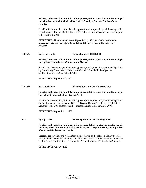**Relating to the creation, administration, powers, duties, operation, and financing of the Kingsborough Municipal Utility District Nos. 1, 2, 3, 4, and 5 of Kaufman County.** 

Provides for the creation, administration, powers, duties, operation, and financing of the Kingsborough Municipal Utility Districts. The districts are subject to confirmation prior to September 1, 2005.

**EFFECTIVE: The date on or after September 1, 2003, on which a settlement agreement between the City of Crandall and the developer of the districts is executed.** 

#### **HB 3635** by Bryan Hughes Senate Sponsor: Bill Ratliff

**Relating to the creation, administration, powers, duties, operation, and financing of the Upshur Groundwater Conservation District.** 

Provides for the creation, administration, powers, duties, operation, and financing of the Upshur County Groundwater Conservation District. The district is subject to confirmation prior to September 1, 2005.

**EFFECTIVE: September 1, 2003** 

#### **HB 3636 by Robert Cook Senate Sponsor: Kenneth Armbrister**

**Relating to the creation, administration, powers, duties, operation, and financing of the Colony Municipal Utility District No. 1.** 

Provides for the creation, administration, powers, duties, operation, and financing of the Colony Municipal Utility District No. 1, in Bastrop County. The district is subject to approval by the City of Bastrop and confirmation prior to September 1, 2005.

**EFFECTIVE: September 1, 2003** 

#### **SB 5** by Kip Averitt **House Sponsor: Arlene Wohlgemuth**

**Relating to the creation, administration, powers, duties, functions, operations, and financing of the Johnson County Special Utility District; authorizing the imposition of taxes and the issuance of bonds.** 

Creates a conservation and reclamation district known as the Johnson County Special Utility District, located in Johnson, Hill, Ellis, and Tarrant counties. The district must be confirmed at a confirmation election within 2 years from the effective date of this Act.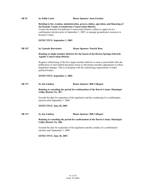| <b>SB 25</b>  | by Eddie Lucio                                                                                                                                                                                                                                                                                        | <b>House Sponsor: Juan Escobar</b>                                                                                                                                                                                                                                                                                      |  |  |
|---------------|-------------------------------------------------------------------------------------------------------------------------------------------------------------------------------------------------------------------------------------------------------------------------------------------------------|-------------------------------------------------------------------------------------------------------------------------------------------------------------------------------------------------------------------------------------------------------------------------------------------------------------------------|--|--|
|               | Kenedy County.                                                                                                                                                                                                                                                                                        | Relating to the creation, administration, powers, duties, operation, and financing of<br>the Kenedy County Groundwater Conservation District.<br>Creates the Kenedy Groundwater Conservation District, subject to approval at a<br>confirmation election prior to September 1, 2005, to manage groundwater resources in |  |  |
|               | <b>EFFECTIVE: September 1, 2003</b>                                                                                                                                                                                                                                                                   |                                                                                                                                                                                                                                                                                                                         |  |  |
| SB 347        | by Gonzalo Barrientos                                                                                                                                                                                                                                                                                 | <b>House Sponsor: Patrick Rose</b>                                                                                                                                                                                                                                                                                      |  |  |
|               | Relating to single-member districts for the board of the Barton Springs-Edwards<br><b>Aquifer Conservation District.</b>                                                                                                                                                                              |                                                                                                                                                                                                                                                                                                                         |  |  |
|               | Requires redistricting of the five single-member districts as soon as practicable after the<br>publication of each federal decennial census as the board considers appropriate to reflect<br>population changes. This is in keeping with the redistricting requirements of other<br>political bodies. |                                                                                                                                                                                                                                                                                                                         |  |  |
|               | <b>EFFECTIVE: September 1, 2003</b>                                                                                                                                                                                                                                                                   |                                                                                                                                                                                                                                                                                                                         |  |  |
| <b>SB 371</b> | by Jon Lindsay                                                                                                                                                                                                                                                                                        | House Sponsor: Bill Callegari                                                                                                                                                                                                                                                                                           |  |  |
|               | Relating to extending the period for confirmation of the Harris County Municipal<br>Utility District No. 387.                                                                                                                                                                                         |                                                                                                                                                                                                                                                                                                                         |  |  |
|               | Extends the date for expiration of the legislation and the conducting of a confirmation<br>election until September 1, 2006.                                                                                                                                                                          |                                                                                                                                                                                                                                                                                                                         |  |  |
|               | <b>EFFECTIVE: June 20, 2003</b>                                                                                                                                                                                                                                                                       |                                                                                                                                                                                                                                                                                                                         |  |  |
| <b>SB 372</b> | by Jon Lindsay                                                                                                                                                                                                                                                                                        | House Sponsor: Bill Callegari                                                                                                                                                                                                                                                                                           |  |  |
|               | Relating to extending the period for confirmation of the Harris County Municipal<br>Utility District No. 388.                                                                                                                                                                                         |                                                                                                                                                                                                                                                                                                                         |  |  |
|               | Extends the date for expiration of the legislation and the conduct of a confirmation<br>election until September 1, 2006.                                                                                                                                                                             |                                                                                                                                                                                                                                                                                                                         |  |  |
|               | <b>EFFECTIVE: June 20, 2003</b>                                                                                                                                                                                                                                                                       |                                                                                                                                                                                                                                                                                                                         |  |  |
|               |                                                                                                                                                                                                                                                                                                       |                                                                                                                                                                                                                                                                                                                         |  |  |
|               |                                                                                                                                                                                                                                                                                                       |                                                                                                                                                                                                                                                                                                                         |  |  |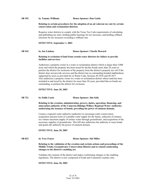#### **SB 392 by Tommy Williams House Sponsor: Dan Gattis**

#### **Relating to certain procedures for the adoption of an ad valorem tax rate by certain conservation and reclamation districts.**

Requires water districts to comply with the Texas Tax Code requirements of calculating and publishing tax rates, holding public hearings for tax increases, and holding rollback elections for tax increases exceeding a rollback rate.

#### **EFFECTIVE: September 1, 2003**

#### **SB 542 by Jon Lindsay House Sponsor: Charlie Howard**

#### **Relating to exclusion of land from certain water districts for failure to provide facilities and services.**

Authorizes a property owner in a water or reclamation district which is larger than 5,000 acres and which the property has been taxed for facility bonds more than 28 years to petition the district for exclusion of the property from the district's property tax roll if the district does not provide services and the district has no outstanding bonded indebtedness supported by taxes as provided for in Water Code, Sections 49.3076 and 49.3077. Also authorizes a property owner in a water or reclamation district whose land has been included in and taxed by the district for more than 20 years, provided that no bonds are outstanding, to petition the district for exclusion.

#### **EFFECTIVE: June 20, 2003**

#### **SB 721 by Eddie Lucio House Sponsor: Jim Solis**

**Relating to the creation, administration, powers, duties, operation, financing, and annexation authority of the Cameron-Hidalgo-Willacy Regional Water Authority; authorizing the issuance of bonds; providing the power of eminent domain.** 

Creates a regional water authority (authority) to encourage water conservation, acquisition and provision of a potable water supply for the future, reduction of reliance on a future uncertain supply of surface water through groundwater, and acquisition of the necessary supplies of groundwater. This bill also authorizes the authority to issue bonds and grants the authority the power of eminent domain.

#### **EFFECTIVE: June 20, 2003**

#### **SB 822 by Troy Fraser House Sponsor: Sid Miller**

**Relating to the validation of the creation and certain actions and proceedings of the Middle Trinity Groundwater Conservation District and to related conforming changes to the district's enabling act.** 

Validates the creation of the district and makes conforming changes to the enabling legislation. The district is now composed of Erath and Comanche counties only.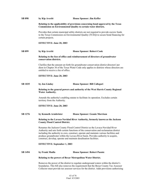## SB 898 by Kip Averitt **House Sponsor: Jim Keffer Relating to the applicability of provisions concerning bond approval by the Texas Commission on Environmental Quality to certain water districts.**  Provides that certain municipal utility districts are not required to provide escrow funds to the Texas Commission on Environmental Quality (TCEQ) to secure bond financing for certain projects. **EFFECTIVE: June 20, 2003 SB 899 by Kip Averitt House Sponsor: Robert Cook Relating to the fees of office and reimbursement of directors of groundwater conservation districts.**  Clarifies that the amount set forth for groundwater conservation district directors' per diem in Chapter 36 of the Texas Water Code only applies to districts whose directors are entitled to receive a fee of office. **EFFECTIVE: June 20, 2003 SB 1035 by Jon Linday House Sponsor: Bill Callegari Relating to the general powers and authority of the West Harris County Regional Water Authority.**  Amends the authority's enabling statute to facilitate its operation. Excludes certain territory from the Authority. **EFFECTIVE: June 20, 2003 SB 1276 by Kenneth Armbrister House Sponsor: Geanie Morrison Relating to the Lavaca-Navidad River Authority, formerly known as the Jackson County Flood Control District.**  Renames the Jackson County Flood Control District as the Lavaca-Navidad River Authority and sets forth certain functions of the conservation and reclamation district including the authority to own, construct, operate and maintain various facilities and produce groundwater within the Lavaca River basin. Provides authority to acquire, construct, develop, operate and maintain desalination facilities. **EFFECTIVE: September 1, 2003 SB 1494 by Frank Madla House Sponsor: Robert Puente Relating to the powers of Bexar Metropolitan Water District.**  Removes the power of the district to regulate underground waters within the district's boundaries. This bill also removes the requirement that the Bexar County Tax Assessor Collector must provide tax assessor services for the district. Adds provisions authorizing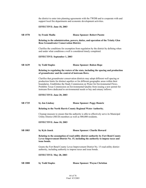the district to enter into planning agreements with the TWDB and to cooperate with and support local fire departments and economic development activities.

#### **EFFECTIVE: June 18, 2003**

#### **SB 1570 by Frank Madla House Sponsor: Robert Puente**

**Relating to the administration, powers, duties, and operation of the Trinity Glen Rose Groundwater Conservation District.** 

Clarifies the conditions for exemption from regulation by the district by defining when and under what conditions a well is considered timely completed.

**EFFECTIVE: September 1, 2003** 

#### SB 1639 by Todd Staples **House Sponsor: Ruben Hope**

**Relating to regulating the waters of the state, including the spacing and production of groundwater and the control of instream flows.** 

Clarifies that groundwater conservation districts may adopt different well spacing or production limits for distinct aquifers or for different geographic areas within their boundaries. Establishes the Study Commission on Water for Environmental Flows. Prohibits Texas Commission on Environmental Quality from issuing a new permit for instream flows dedicated to environmental needs or bay and estuary inflows.

**EFFECTIVE: June 20, 2003** 

#### SB 1725 by Jon Lindsay **House Sponsor: Peggy Hamric**

**Relating to the North Harris County Regional Water Authority.** 

Cleanup measure to ensure that the authority is able to effectively serve its Municipal Utility District (MUD) members as well as 400,000 residents.

**EFFECTIVE: June 18, 2003** 

#### SB 1883 by Kyle Janek **House Sponsor: Charlie Howard**

**Relating to the assumption of road utility district authority by Fort Bend County Levee Improvement District No. 15, including the authority to impose taxes and issue bonds.** 

Grants the Fort Bend County Levee Improvement District No. 15 road utility district authority, including authority to impose taxes and issue bonds.

**EFFECTIVE: May 28, 2003** 

**SB 1888 by Todd Staples House Sponsor: Wayne Christian**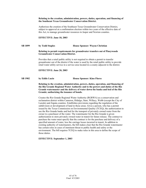#### **Relating to the creation, administration, powers, duties, operation, and financing of the Southeast Texas Groundwater Conservation District.**

Authorizes the creation of the Southeast Texas Groundwater Conservation District, subject to approval at a confirmation election within two years of the effective date of this Act, to manage groundwater resources in Jasper and Newton counties.

#### **EFFECTIVE: June 18, 2003**

#### SB 1899 by Todd Staples **House Sponsor: Wayne Christian**

#### **Relating to permit requirements for groundwater transfers out of Pineywoods Groundwater Conservation District.**

Provides that a retail public utility is not required to obtain a permit to transfer groundwater out of the district if the water is used by the retail public utility to provide retail water utility service in a service area located in a county adjacent to the district.

#### **EFFECTIVE: June 20, 2003**

#### **SB 1902 by Eddie Lucio House Sponsor: Kino Flores**

**Relating to the creation, administration, powers, duties, operation, and financing of the Rio Grande Regional Water Authority and to the powers and duties of the Rio Grande watermaster and the delivery of water down the banks and bed of the Rio Grande; authorizing the issuance of bonds.** 

Creates the Rio Grande Regional Water Authority (RGRWA) as a conservation and reclamation district within Cameron, Hidalgo, Starr, Willacy, Webb (except the City of Laredo) and Zapata counties. Establishes provisions regarding the regulation of the subdivision or development of land in those areas. Gives a person, who has a permit issued by the Texas Commission on Environmental Quality (TCEQ), the authorization to use the Rio Grande banks and bed for the transport of privately owned water from the owner to a purchaser of the water. The watermaster for the Rio Grande is given authorization to store privately owned water in transit for future release. The contract to purchase the water must specify that the contract is for the purchase and delivery of a specified amount of water, less the carriage losses incurred in transit. In addition to existing authority of watermasters, the bill makes clear that the Rio Grande watermaster has certain roles in cases of imminent threat to public health and safety or the environment. The bill requires TCEQ to make rules in this area to define the scope of those duties.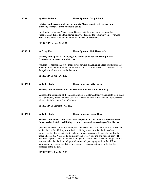#### SB 1912 by Mike Jackson **House Sponsor: Craig Eiland**

#### **Relating to the creation of the Harborside Management District; providing authority to impose taxes and issue bonds.**

Creates the Harborside Management District in Galveston County as a political subdivision of Texas to administer and provide funding for community improvement projects and services in certain commercial areas of Harborside.

**EFFECTIVE:** June 20, 2003

#### **SB 1925** by Craig Estes **House Sponsor: Rick Hardcastle**

#### **Relating to the powers, financing, and fees of office for the Rolling Plains Groundwater Conservation District.**

Provides for adjustments to be made to the powers, financing, and fees of office for the directors of the Rolling Plains Groundwater Conservation District. Also establishes fees for agricultural water use and other uses.

**EFFECTIVE: June 20, 2003** 

#### **SB 1928 by Todd Staples House Sponsor: Betty Brown**

**Relating to the boundaries of the Athens Municipal Water Authority.** 

Validates the expansion of the Athens Municipal Water Authority's District to include all areas previously annexed by the City of Athens so that the Athens Water District serves all areas included in the City of Athens.

**EFFECTIVE: September 1, 2003** 

#### **SB 1930** by Todd Staples **House Sponsor: Ruben Hope**

**Relating to the board of directors and the powers of the Lone Star Groundwater Conservation District; validating certain actions and proceedings of the district.** 

Clarifies the fees of office for directors of the district and validates certain actions taken by the district. In addition, it sets forth clarifying powers for the district such as authorizing the district to institute a claims process to carry out its existing authority under Chapter 36, Water Code, to identify and protect existing and historic users. The historic use period must not be less than 5 years or more than 21 years in length. Would also authorize the district to adopt production and spacing regulations for different hydrogeologic areas of the district and establish management zones to further the purposes of the district.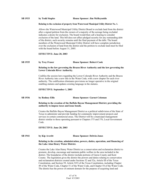#### **SB 1933 by Todd Staples House Sponsor: Jim McReynolds**

#### **Relating to the exclusion of property from Waterwood Municipal Utility District No. 1.**

Allows the Waterwood Municipal Utility District Board to exclude land from the district after a signed petition from the owners of a majority of the acreage being excluded indicates a desire for exclusion. The board would then call a hearing to consider exclusion of the land. This bill does not affect pledged security for any outstanding debt of the district, such security remains until the final payment of the debt. The board members of the Waterwood Municipal Utility District will have complete jurisdiction over the exclusion of land from the district and the petition to exclude land must be filed with the board before August 31, 2005.

#### **EFFECTIVE: June 20, 2003**

#### **SB 1935 by Troy Fraser House Sponsor: Robert Cook**

**Relating to the law governing the Brazos River Authority and the law governing the Lower Colorado River Authority.** 

Codifies the session laws regarding the Lower Colorado River Authority and the Brazos River Authority into a new title in the Water Code, with a new chapter for each river authority. The codification eliminates provisions no longer operative in the original enabling statutes and updates existing language in the statutes.

#### **EFFECTIVE: September 1, 2003**

#### **SB 1936 by Rodney Ellis House Sponsor: Garnet Coleman**

**Relating to the creation of the Buffalo Bayou Management District; providing the authority to impose taxes and issue bonds.** 

Creates the Buffalo Bayou Management District as a political subdivision of the State of Texas to administer and provide funding for community improvement projects and services in certain commercial areas. The District will be a municipal management district similar to those operating pursuant to Chapters 375 and 376, Local Government Code.

**EFFECTIVE: June 20, 2003** 

#### SB 1941 by Kip Averitt **House Sponsor: Delwin Jones**

#### **Relating to the creation, administration, powers, duties, operation, and financing of the Lake Alan Henry Water District.**

Creates the Lake Alan Henry Water District as a conservation and reclamation district to promote, develop, encourage and maintain public welfare in the area included in the district. The boundaries of the district include portions of Garza County and Kent County. The legislation gives the district the powers and duties relating to conservation and reclamation districts created under Sections 52 and 52a, Article III of the Texas Constitution, and Section 59, Article XVI of the Texas Constitution, including Chapter 49 of the Water Code, Chapter 51 of the Water Code, and Chapter 54 of the Water Code. The district has the power of eminent domain for the purpose of acquiring land and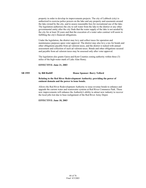property in order to develop its improvements projects. The city of Lubbock (city) is authorized to exercise police powers on the lake and any property and easements around the lake owned by the city, and to assess reasonable fees for recreational use of the lake. The legislation authorizes the city to sell water from the lake to the district or any other governmental entity after the city finds that the water supply of the lake is not needed by the city for at least 20 years and that the execution of a water sales contract will assist in fulfilling the city's financial obligations.

Under the legislation, the district may levy and collect taxes for operation and maintenance purposes upon voter approval. The district may also levy a tax for bonds and other obligations payable from ad valorem taxes, and the district is tasked with annual assessment and collection of such ad valorem taxes. Bonds and other obligations secured and payable from ad valorem taxes may be assessed only after voter approval.

The legislation also grants Garza and Kent Counties zoning authority within three (3) miles of the high-water mark of Lake Alan Henry.

**EFFECTIVE: June 21, 2003** 

#### SB 1955 by Bill Ratliff **House Sponsor: Barry Telford**

#### **Relating to the Red River Redevelopment Authority; providing the power of eminent domain and the power to issue bonds.**

Allows the Red River Redevelopment Authority to issue revenue bonds to enhance and upgrade the current water and wastewater systems at Red River Commerce Park. These new improvements will enhance the Authority's ability to attract new industry to recover the local jobs lost due to base realignment of the Red River Army Depot.

#### **EFFECTIVE: June 18, 2003**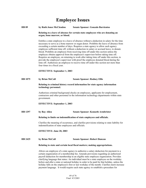# **Employee Issues**

| <b>HB 89</b>   | by Ruth Jones McClendon                                                                                                                                                                                                                                                                                                                                                                                                                                                                                                                                                                                                                                                                                                                                                                                                                                                                                                                                                                                            | <b>Senate Sponsor: Gonzalo Barrientos</b>                                                                                                                                                                                                                                                                                                                                                                                                                                                                                                                        |
|----------------|--------------------------------------------------------------------------------------------------------------------------------------------------------------------------------------------------------------------------------------------------------------------------------------------------------------------------------------------------------------------------------------------------------------------------------------------------------------------------------------------------------------------------------------------------------------------------------------------------------------------------------------------------------------------------------------------------------------------------------------------------------------------------------------------------------------------------------------------------------------------------------------------------------------------------------------------------------------------------------------------------------------------|------------------------------------------------------------------------------------------------------------------------------------------------------------------------------------------------------------------------------------------------------------------------------------------------------------------------------------------------------------------------------------------------------------------------------------------------------------------------------------------------------------------------------------------------------------------|
|                | Relating to a leave of absence for certain state employees who are donating an<br>organ, bone marrow, or blood.<br>Entitles a state employee to a leave of absence without a deduction in salary for the time<br>necessary to serve as a bone marrow or organ donor. Prohibits the leave of absence from<br>exceeding a certain number of days. Requires a state agency to allow each agency<br>employee sufficient time off, without a deduction in salary or accrued leave, to donate<br>blood. Prohibits an employee from receiving time off under this section unless the<br>employee obtains approval from the employee's supervisor before taking time off.<br>Requires an employee, on returning to work after taking time off under this section, to<br>provide the employee's supervisor with proof the employee donated blood during the<br>time off. Authorizes an employee to receive time off under this section not more than<br>four times in a fiscal year.<br><b>EFFECTIVE: September 1, 2003</b> |                                                                                                                                                                                                                                                                                                                                                                                                                                                                                                                                                                  |
|                |                                                                                                                                                                                                                                                                                                                                                                                                                                                                                                                                                                                                                                                                                                                                                                                                                                                                                                                                                                                                                    |                                                                                                                                                                                                                                                                                                                                                                                                                                                                                                                                                                  |
|                |                                                                                                                                                                                                                                                                                                                                                                                                                                                                                                                                                                                                                                                                                                                                                                                                                                                                                                                                                                                                                    |                                                                                                                                                                                                                                                                                                                                                                                                                                                                                                                                                                  |
| <b>HB</b> 1075 | by Brian McCall                                                                                                                                                                                                                                                                                                                                                                                                                                                                                                                                                                                                                                                                                                                                                                                                                                                                                                                                                                                                    | <b>Senate Sponsor: Rodney Ellis</b>                                                                                                                                                                                                                                                                                                                                                                                                                                                                                                                              |
|                | Relating to criminal history record information for state agency information<br>technology personnel.                                                                                                                                                                                                                                                                                                                                                                                                                                                                                                                                                                                                                                                                                                                                                                                                                                                                                                              |                                                                                                                                                                                                                                                                                                                                                                                                                                                                                                                                                                  |
|                | Authorizes criminal background checks on employees, applicants for employment,<br>contractors and other personnel in the information technology departments within state<br>government.                                                                                                                                                                                                                                                                                                                                                                                                                                                                                                                                                                                                                                                                                                                                                                                                                            |                                                                                                                                                                                                                                                                                                                                                                                                                                                                                                                                                                  |
|                | <b>EFFECTIVE: September 1, 2003</b>                                                                                                                                                                                                                                                                                                                                                                                                                                                                                                                                                                                                                                                                                                                                                                                                                                                                                                                                                                                |                                                                                                                                                                                                                                                                                                                                                                                                                                                                                                                                                                  |
| <b>HB</b> 1297 | by Ray Allen                                                                                                                                                                                                                                                                                                                                                                                                                                                                                                                                                                                                                                                                                                                                                                                                                                                                                                                                                                                                       | <b>Senate Sponsor: Kenneth Armbrister</b>                                                                                                                                                                                                                                                                                                                                                                                                                                                                                                                        |
|                | Relating to limits on indemnification of state employees and officials.                                                                                                                                                                                                                                                                                                                                                                                                                                                                                                                                                                                                                                                                                                                                                                                                                                                                                                                                            |                                                                                                                                                                                                                                                                                                                                                                                                                                                                                                                                                                  |
|                | indemnification of state employees and officials.                                                                                                                                                                                                                                                                                                                                                                                                                                                                                                                                                                                                                                                                                                                                                                                                                                                                                                                                                                  | Clarifies the meaning of occurrence, and clarifies provisions relating to state liability for                                                                                                                                                                                                                                                                                                                                                                                                                                                                    |
|                | <b>EFFECTIVE: June 20, 2003</b>                                                                                                                                                                                                                                                                                                                                                                                                                                                                                                                                                                                                                                                                                                                                                                                                                                                                                                                                                                                    |                                                                                                                                                                                                                                                                                                                                                                                                                                                                                                                                                                  |
| HB 2425        | by Brian McCall                                                                                                                                                                                                                                                                                                                                                                                                                                                                                                                                                                                                                                                                                                                                                                                                                                                                                                                                                                                                    | <b>Senate Sponsor: Robert Duncan</b>                                                                                                                                                                                                                                                                                                                                                                                                                                                                                                                             |
|                | Relating to state and certain local fiscal matters; making appropriations.                                                                                                                                                                                                                                                                                                                                                                                                                                                                                                                                                                                                                                                                                                                                                                                                                                                                                                                                         |                                                                                                                                                                                                                                                                                                                                                                                                                                                                                                                                                                  |
|                |                                                                                                                                                                                                                                                                                                                                                                                                                                                                                                                                                                                                                                                                                                                                                                                                                                                                                                                                                                                                                    | Allows an employee of a state agency to authorize a salary deduction for payment to a<br>certain organization of a membership fee. Amends provisions regarding an authorized<br>payroll deduction for membership in an eligible state employee organization. Provides<br>clarifying language that states: An individual must be a state employee on the workday<br>before and after a state or national holiday in order to be paid for that holiday, unless the<br>holiday falls on the employee's first or last workday of the month. Clarifies merit increase |

payment language. It would require each state agency to establish a procedure for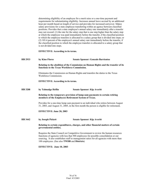determining eligibility of an employee for a merit raise or a one-time payment and requirements for substantiating eligibility. Increases annual leave accrual by an additional hour per month based on length of service and provides for increased carryover. Makes salary provisions for a state employee transferring within an agency between classified positions. Provides that a state employee's annual salary rate immediately after a transfer may not exceed: (1) the rate for the salary step that is one step higher than the salary step at which the employee was paid immediately before the transfer, if the classified position to which the employee transfers is allocated to a salary group that is divided into steps; or (2) 103.4 percent of the employee's annual salary rate immediately before the transfer, if the classified position to which the employee transfers is allocated to a salary group that is not divided into steps.

# **EFFECTIVE: According to its terms.**

# **HB 2933 by Kino Flores Senate Sponsor: Gonzalo Barrientos**

**Relating to the abolition of the Commission on Human Rights and the transfer of its functions to the Texas Workforce Commission.** 

Eliminates the Commission on Human Rights and transfers the duties to the Texas Workforce Commission.

**EFFECTIVE: According to its terms.** 

### **HB 3208 by Talmadge Heflin Senate Sponsor: Kip Averitt**

**Relating to the temporary provision of lump-sum payments to certain retiring members of the Employees Retirement System of Texas.** 

Provides for a one-time lump sum payment to an individual who retires between August 31, 2003, and August 31, 2005, in the first month the person is eligible for retirement.

**EFFECTIVE: June 20, 2003** 

# **HB 3442 by Joseph Pickett Senate Sponsor: Kip Averitt**

# **Relating to certain expenditures, charges, and other financial matters of certain governmental entities.**

Requires the State Council on Competitive Government to review the human resources functions of agencies with less that 500 employees for possible consolidation or out sourcing. It also establishes staff to management ratios for all agencies with more than 100 employees. (See also **TWDB** and **Districts**)

**EFFECTIVE: June 10, 2003**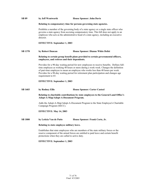# **SB 89 by Jeff Wentworth House Sponsor: John Davis**

### **Relating to compensatory time for persons governing state agencies.**

Prohibits a member of the governing body of a state agency or a single state officer who governs a state agency from accruing compensatory time. This bill does not apply to an employee who acts as the administrative head of a state agency, including an executive director.

**EFFECTIVE: September 1, 2003** 

# **SB 1370 by Robert Duncan House Sponsor: Dianne White Delisi**

**Relating to certain group benefit plans provided to certain governmental officers, employees, and retirees and their dependents.** 

Provides for a 90-day waiting period for new employees to receive benefits. Defines fulltime employee as working 40 hours or more during a work week. Changes the definition of part-time employee to mean an employee who works less than 40 hours per week. Provides for a 90-day waiting period for retirement plan participation and changes age requirement to 65.

### **EFFECTIVE: September 1, 2003**

# **SB 1603 by Rodney Ellis House Sponsor: Carter Casteel**

**Relating to charitable contributions by state employees to the General Land Office's Adopt-A-Map/Adopt-A-Document Program.** 

Adds the Adopt-A-Map/Adopt-A-Document Program to the State Employee's Charitable Campaign Program (SECC).

**EFFECTIVE: May 14, 2003** 

#### **SB 1800 by Leticia Van de Putte House Sponsor: Frank Corte, Jr.**

**Relating to state employee military leave.** 

Establishes that state employees who are members of the state military forces or the reserve component of the armed forces are entitled to paid leave and certain benefit protections when they are called to active duty.

**EFFECTIVE: September 1, 2003**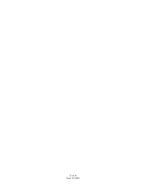72 of 76 Final 8/5/2003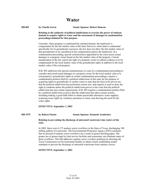# **Water**

**HB 803 by Charlie Geren Senate Sponsor: Robert Duncan** 

**Relating to the authority of political subdivisions to exercise the power of eminent domain to acquire rights to water and the assessment of damages in condemnation proceedings initiated for that purpose.** 

Currently, when property is condemned by eminent domain, the landowner is compensated for the fair market value of the land. However, when land is condemned specifically for its groundwater resources, the law does not allow the fair market value of that groundwater to be considered in the compensation paid to the landowner. In a condemnation proceeding, special commissioners appointed by the court assess actual damages to a property owner based on the fair market value of the property. Current interpretation of the law rejects the right of a property owner to submit evidence or to be compensated for the local market value of the groundwater rights in addition to the local market value of the real property.

H.B. 803 authorizes the special commissioners or court in a condemnation proceeding to consider and award actual damages to a property owner for the local market value of a real property's groundwater rights in certain condemnation proceedings; requires a condemnation petition filed by a political subdivision of this state for the purpose of acquiring rights to groundwater or surface water to state that the facts to be proven are that the political subdivision has performed certain acts; and requires a court to deny the right to condemn unless the political subdivision proves to the court that the political subdivision has met certain requirements. H.B. 803 requires a condemnation petition filed by a political subdivision to prove that the subdivision has taken certain actions, including making a good faith effort to obtain practicable alternative water supplies; acquiring water rights by voluntary purchases or lease; and showing the need for the water rights.

# **EFFECTIVE: September 1, 2003**

# **HB 1979 by Robert Puente Senate Sponsor: Kenneth Armbrister**

# **Relating to preventing the discharge of untreated wastewater into waters of the state.**

In 2002, there were 6,173 sanitary sewer overflows in the State of Texas, discharging 190 million gallons of wastewater. The Environmental Protection Agency (EPA) estimates that 42 percent of sanitary sewer overflows are a result of grease blocking pipes. The proper use of grease traps by food service facilities and restaurants can eliminate many of these overflows. This bill addresses sanitary sewer overflow problems by directing the Texas Commission on Environmental Quality to adopt criteria establishing model standards to prevent the discharge of untreated wastewater from sanitary sewers.

**EFFECTIVE: September 1, 2003**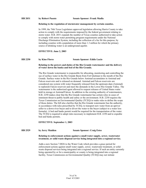# **HB 2031 by Robert Puente Senate Sponsor: Frank Madla**

# **Relating to the regulation of stormwater management by certain counties.**

In 1999, the 76th Texas Legislature approved legislation allowing Harris County to take action to comply with the requirements imposed by the federal government relating to storm water. H.B. 2031 expands the number of Texas counties authorized to take action to comply with storm water permitting program requirements under the National Discharge Elimination System, including the collection of a fee for this purpose, by including counties with a population of more than 1.3 million for which the primary source of drinking water is an underground aquifer.

#### **EFFECTIVE: June 2, 2003**

# **HB 2250 by Kino Flores Senate Sponsor: Eddie Lucio**

# **Relating to the powers and duties of the Rio Grande watermaster and the delivery of water down the banks and bed of the Rio Grande.**

The Rio Grande watermaster is responsible for allocating, monitoring and controlling the use of surface water in the Rio Grande Basin from Fort Quitman to the mouth of the Rio Grande. Surface water in the Rio Grande below Amistad accumulates in Amistad and Falcon reservoirs and is released on demand. Amistad and Falcon reservoirs are considered one system with water frequently released from the upstream dam (Amistad) to replenish Falcon reservoir and meet the demands in the Lower Rio Grande Valley. The watermaster is the authorized agent allowed to request releases of United States water held in storage at Amistad/Falcon. In addition to the existing authority of watermasters, H.B. 2250 makes clear that the Rio Grande watermaster has certain roles in cases of imminent threat to public health and safety or the environment. H.B. 2250 requires the Texas Commission on Environmental Quality (TCEQ) to make rules to define the scope of those duties. The bill also clarifies that the Rio Grande watermaster has the authority, in accordance with rules prescribed by TCEQ, to transport new water from an upriver seller to a down river buyer and to divert the water to the buyer (subject to a water loss formula). A bed and banks permit would be required for the transportation of the water. The TCEQ is required to adopt rules necessary to implement H.B. 2250 and to expedite bed and banks permits.

#### **EFFECTIVE: September 1, 2003**

### **HB 2529 by Jerry Madden Senate Sponsor: Craig Estes**

**Relating to enforcement actions against a small water supply, sewer, wastewater treatment, or solid waste disposal service being integrated into a regional service.** 

Adds a new Section 7.0026 to the Water Code which provides a grace period for enforcement actions against small water supply, sewer, wastewater treatment, or solid waste disposal services being integrated into a regional service. If such an entity currently being operated by or for a municipality or county is being integrated into a regional facility, Texas Commission on Environmental Quality (TCEQ) may not initiate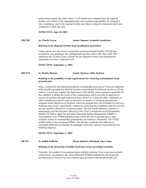enforcement against the entity unless: 1) 36 months have elapsed since the regional facility took control of the integrated entity and assumed responsibility for bringing it into compliance; and 2) the regional facility has failed to bring the integrated entity into compliance within that time.

**EFFECTIVE: June 20, 2003** 

# **HB 2567 by Charlie Geren Senate Sponsor: Kenneth Armbrister**

# **Relating to the disposal of brine from desalination operations.**

Under current law, the Texas Commission on Environmental Quality (TCEQ) has jurisdiction over discharge into underground injection wells in the state. H.B. 2567 authorizes the TCEQ to issue a permit for the disposal of brine from desalination operations in a Class I injection well.

**EFFECTIVE: September 1, 2003** 

# **HB 3152 by Dennis Bonnen Senate Sponosr: Mike Jackson**

# **Relating to the potability of and requirements for removing contaminants from groundwater.**

Many commercial and industrial properties in municipal areas across Texas are underlain with unusable groundwater that has become contaminated by historical on-site or off-site sources. Current law requires the landowner or the facility owner/operator responsible for the condition to define the extent of the contamination and to develop an approach to correct the problem through response actions. However, it does not allow ordinances or other institutional controls, such as restrictive covenants, to eliminate groundwater response action objectives in locations where the groundwater will no longer be used as a drinking water source; specifically, ordinances restricting the installation and use of wells are not currently allowed as a response action. This bill would authorize a person or municipality and the Executive Director of the Texas Commission on Environmental Quality (TCEQ) to apply for and make Municipal Setting Designations (MSD) in municipalities over 20,000 population that restrict the use of groundwater so that response actions to contaminated groundwater are limited or eliminated. The TCEQ would certify or deny proposed MSDs. The bill also would provide authority to municipal authorities to regulate the pumping, extraction, and use of groundwater for drinking purposes.

# **EFFECTIVE: September 1, 2003**

#### **SB 155 by Judith Zaffirini House Sponsor: Elizabeth Ames Jones**

# **Relating to the protection of public freshwater areas; providing a penalty.**

Currently, the number of recreational motor vehicles entering Texas rivers has reached a critical mass. According to the Texas Parks and Wildlife Department, the frequently traveled areas of Texas rivers have shown signs of erosion and decreased fish and